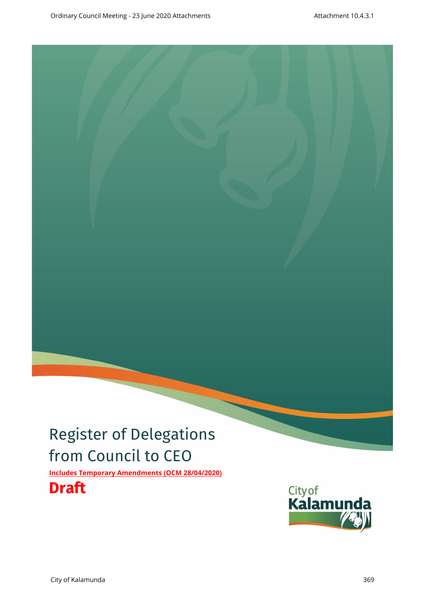# Register of Delegations from Council to CEO

**Includes Temporary Amendments (OCM 28/04/2020)**

## **Draft**

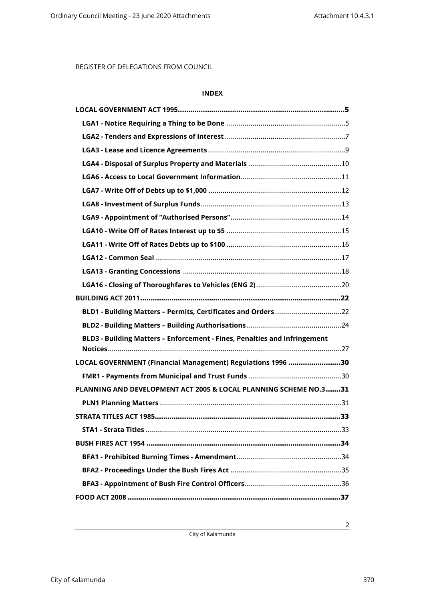### **INDEX**

| BLD1 - Building Matters - Permits, Certificates and Orders 22             |
|---------------------------------------------------------------------------|
|                                                                           |
| BLD3 - Building Matters - Enforcement - Fines, Penalties and Infringement |
|                                                                           |
| LOCAL GOVERNMENT (Financial Management) Regulations 1996 30               |
|                                                                           |
| PLANNING AND DEVELOPMENT ACT 2005 & LOCAL PLANNING SCHEME NO.3 31         |
|                                                                           |
|                                                                           |
|                                                                           |
| BUSH FIRES ACT 1954 ……………………………………………………………………………………34                    |
|                                                                           |
|                                                                           |
|                                                                           |
|                                                                           |

City of Kalamunda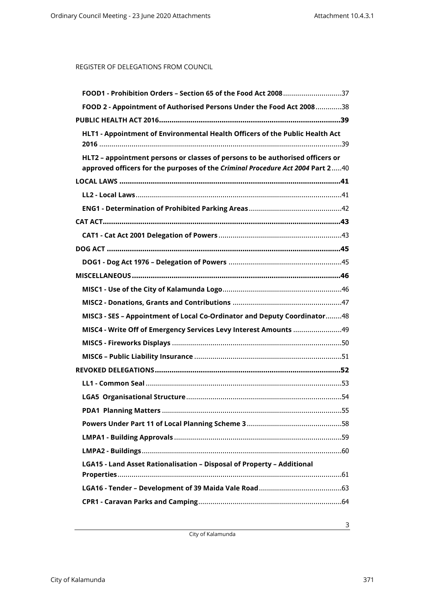| FOOD1 - Prohibition Orders - Section 65 of the Food Act 200837                                                                                                  |
|-----------------------------------------------------------------------------------------------------------------------------------------------------------------|
| FOOD 2 - Appointment of Authorised Persons Under the Food Act 200838                                                                                            |
|                                                                                                                                                                 |
| HLT1 - Appointment of Environmental Health Officers of the Public Health Act                                                                                    |
| HLT2 - appointment persons or classes of persons to be authorised officers or<br>approved officers for the purposes of the Criminal Procedure Act 2004 Part 240 |
|                                                                                                                                                                 |
|                                                                                                                                                                 |
|                                                                                                                                                                 |
|                                                                                                                                                                 |
|                                                                                                                                                                 |
|                                                                                                                                                                 |
|                                                                                                                                                                 |
|                                                                                                                                                                 |
|                                                                                                                                                                 |
|                                                                                                                                                                 |
| MISC3 - SES - Appointment of Local Co-Ordinator and Deputy Coordinator48                                                                                        |
|                                                                                                                                                                 |
|                                                                                                                                                                 |
|                                                                                                                                                                 |
|                                                                                                                                                                 |
|                                                                                                                                                                 |
|                                                                                                                                                                 |
|                                                                                                                                                                 |
|                                                                                                                                                                 |
|                                                                                                                                                                 |
|                                                                                                                                                                 |
| LGA15 - Land Asset Rationalisation - Disposal of Property - Additional                                                                                          |
|                                                                                                                                                                 |
|                                                                                                                                                                 |

City of Kalamunda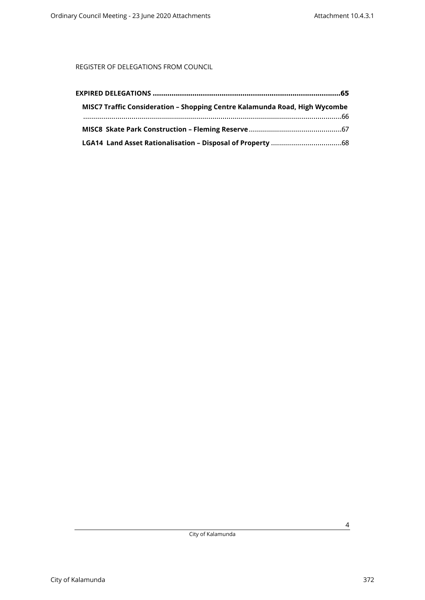| MISC7 Traffic Consideration - Shopping Centre Kalamunda Road, High Wycombe |  |
|----------------------------------------------------------------------------|--|
|                                                                            |  |
|                                                                            |  |
|                                                                            |  |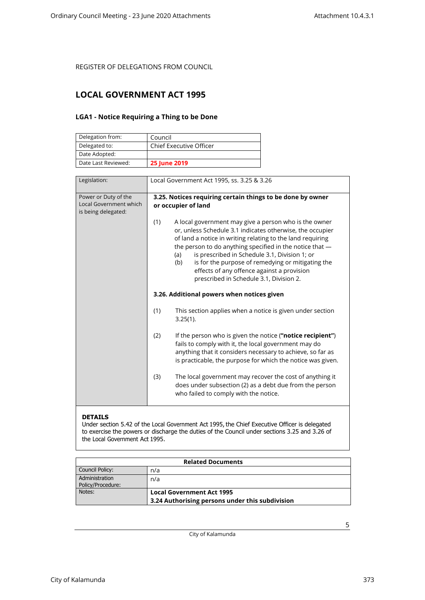### <span id="page-4-1"></span><span id="page-4-0"></span>**LOCAL GOVERNMENT ACT 1995**

### **LGA1 - Notice Requiring a Thing to be Done**

| Delegation from:    | Council                        |
|---------------------|--------------------------------|
| Delegated to:       | <b>Chief Executive Officer</b> |
| Date Adopted:       |                                |
| Date Last Reviewed: | <b>25 June 2019</b>            |

| Legislation:                                                          | Local Government Act 1995, ss. 3.25 & 3.26                                                                                                                                                                                                                                                                                                                                                                                                                       |  |
|-----------------------------------------------------------------------|------------------------------------------------------------------------------------------------------------------------------------------------------------------------------------------------------------------------------------------------------------------------------------------------------------------------------------------------------------------------------------------------------------------------------------------------------------------|--|
| Power or Duty of the<br>Local Government which<br>is being delegated: | 3.25. Notices requiring certain things to be done by owner<br>or occupier of land                                                                                                                                                                                                                                                                                                                                                                                |  |
|                                                                       | (1)<br>A local government may give a person who is the owner<br>or, unless Schedule 3.1 indicates otherwise, the occupier<br>of land a notice in writing relating to the land requiring<br>the person to do anything specified in the notice that -<br>is prescribed in Schedule 3.1, Division 1; or<br>(a)<br>is for the purpose of remedying or mitigating the<br>(b)<br>effects of any offence against a provision<br>prescribed in Schedule 3.1, Division 2. |  |
|                                                                       | 3.26. Additional powers when notices given                                                                                                                                                                                                                                                                                                                                                                                                                       |  |
|                                                                       | (1)<br>This section applies when a notice is given under section<br>$3.25(1)$ .                                                                                                                                                                                                                                                                                                                                                                                  |  |
|                                                                       | (2)<br>If the person who is given the notice ("notice recipient")<br>fails to comply with it, the local government may do<br>anything that it considers necessary to achieve, so far as<br>is practicable, the purpose for which the notice was given.                                                                                                                                                                                                           |  |
|                                                                       | The local government may recover the cost of anything it<br>(3)<br>does under subsection (2) as a debt due from the person<br>who failed to comply with the notice.                                                                                                                                                                                                                                                                                              |  |

#### **DETAILS**

Under section 5.42 of the Local Government Act 1995, the Chief Executive Officer is delegated to exercise the powers or discharge the duties of the Council under sections 3.25 and 3.26 of the Local Government Act 1995.

| <b>Related Documents</b>            |                                                                                     |
|-------------------------------------|-------------------------------------------------------------------------------------|
| Council Policy:                     | n/a                                                                                 |
| Administration<br>Policy/Procedure: | n/a                                                                                 |
| Notes:                              | <b>Local Government Act 1995</b><br>3.24 Authorising persons under this subdivision |

City of Kalamunda

City of Kalamunda 373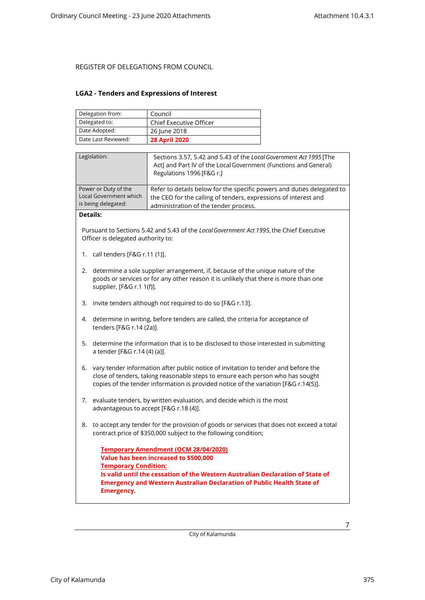#### <span id="page-6-0"></span>**LGA2 - Tenders and Expressions of Interest**

| Delegation from:    | Council                        |
|---------------------|--------------------------------|
| Delegated to:       | <b>Chief Executive Officer</b> |
| Date Adopted:       | 26 June 2018                   |
| Date Last Reviewed: | <b>28 April 2020</b>           |

| Legislation:                                                          | Sections 3.57, 5.42 and 5.43 of the Local Government Act 1995 [The<br>Act] and Part IV of the Local Government (Functions and General)<br>Regulations 1996 [F&G r.]                |
|-----------------------------------------------------------------------|------------------------------------------------------------------------------------------------------------------------------------------------------------------------------------|
| Power or Duty of the<br>Local Government which<br>is being delegated: | Refer to details below for the specific powers and duties delegated to<br>the CEO for the calling of tenders, expressions of interest and<br>administration of the tender process. |
| <b>B</b> - + - H - -                                                  |                                                                                                                                                                                    |

#### **Details:**

Pursuant to Sections 5.42 and 5.43 of the *Local Government Act 1995*, the Chief Executive Officer is delegated authority to:

- 1. call tenders [F&G r.11 (1)].
- 2. determine a sole supplier arrangement, if, because of the unique nature of the goods or services or for any other reason it is unlikely that there is more than one supplier, [F&G r.1 1(f)].
- 3. invite tenders although not required to do so [F&G r.13].
- 4. determine in writing, before tenders are called, the criteria for acceptance of tenders [F&G r.14 (2a)].
- 5. determine the information that is to be disclosed to those interested in submitting a tender [F&G r.14 (4) (a)].
- 6. vary tender information after public notice of invitation to tender and before the close of tenders, taking reasonable steps to ensure each person who has sought copies of the tender information is provided notice of the variation [F&G r.14(5)].
- 7. evaluate tenders, by written evaluation, and decide which is the most advantageous to accept [F&G r.18 (4)].
- 8. to accept any tender for the provision of goods or services that does not exceed a total contract price of \$350,000 subject to the following condition;

| <b>Temporary Amendment (OCM 28/04/2020)</b>                                    |
|--------------------------------------------------------------------------------|
| Value has been increased to \$500,000                                          |
| <b>Temporary Condition:</b>                                                    |
| Is valid until the cessation of the Western Australian Declaration of State of |
| <b>Emergency and Western Australian Declaration of Public Health State of</b>  |
| <b>Emergency.</b>                                                              |

City of Kalamunda

City of Kalamunda 375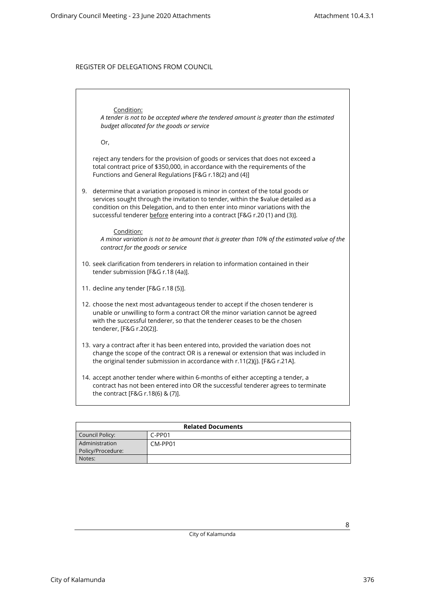### Condition:

*A tender is not to be accepted where the tendered amount is greater than the estimated budget allocated for the goods or service*

Or,

reject any tenders for the provision of goods or services that does not exceed a total contract price of \$350,000, in accordance with the requirements of the Functions and General Regulations [F&G r.18(2) and (4)]

9. determine that a variation proposed is minor in context of the total goods or services sought through the invitation to tender, within the \$value detailed as a condition on this Delegation, and to then enter into minor variations with the successful tenderer before entering into a contract [F&G r.20 (1) and (3)].

#### Condition:

*A minor variation is not to be amount that is greater than 10% of the estimated value of the contract for the goods or service*

- 10. seek clarification from tenderers in relation to information contained in their tender submission [F&G r.18 (4a)].
- 11. decline any tender [F&G r.18 (5)].
- 12. choose the next most advantageous tender to accept if the chosen tenderer is unable or unwilling to form a contract OR the minor variation cannot be agreed with the successful tenderer, so that the tenderer ceases to be the chosen tenderer, [F&G r.20(2)].
- 13. vary a contract after it has been entered into, provided the variation does not change the scope of the contract OR is a renewal or extension that was included in the original tender submission in accordance with r.11(2)(j). [F&G r.21A].
- 14. accept another tender where within 6-months of either accepting a tender, a contract has not been entered into OR the successful tenderer agrees to terminate the contract [F&G r.18(6) & (7)].

| <b>Related Documents</b> |          |  |
|--------------------------|----------|--|
| Council Policy:          | $C-PP01$ |  |
| Administration           | CM-PP01  |  |
| Policy/Procedure:        |          |  |
| Notes:                   |          |  |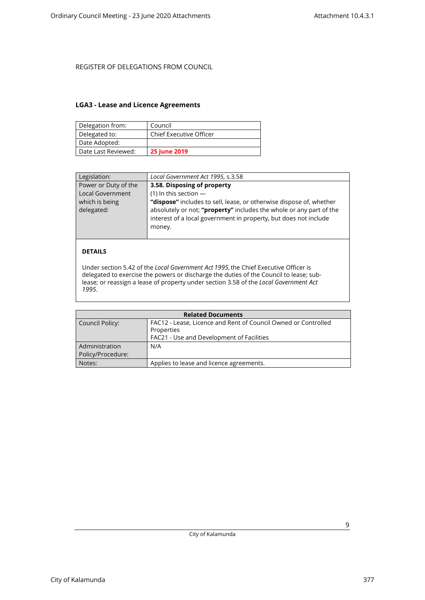#### <span id="page-8-0"></span>**LGA3 - Lease and Licence Agreements**

| Delegation from:    | Council                        |
|---------------------|--------------------------------|
| Delegated to:       | <b>Chief Executive Officer</b> |
| Date Adopted:       |                                |
| Date Last Reviewed: | <b>25 June 2019</b>            |

| Legislation:                 | Local Government Act 1995, s.3.58                                                                                                                                                                                        |
|------------------------------|--------------------------------------------------------------------------------------------------------------------------------------------------------------------------------------------------------------------------|
| Power or Duty of the         | 3.58. Disposing of property                                                                                                                                                                                              |
| <b>Local Government</b>      | (1) In this section $-$                                                                                                                                                                                                  |
| which is being<br>delegated: | "dispose" includes to sell, lease, or otherwise dispose of, whether<br>absolutely or not; "property" includes the whole or any part of the<br>interest of a local government in property, but does not include<br>money. |

### **DETAILS**

Under section 5.42 of the *Local Government Act 1995*, the Chief Executive Officer is delegated to exercise the powers or discharge the duties of the Council to lease; sublease; or reassign a lease of property under section 3.58 of the *Local Government Act 1995*.

| <b>Related Documents</b> |                                                                |  |
|--------------------------|----------------------------------------------------------------|--|
| Council Policy:          | FAC12 - Lease, Licence and Rent of Council Owned or Controlled |  |
|                          | Properties                                                     |  |
|                          | FAC21 - Use and Development of Facilities                      |  |
| Administration           | N/A                                                            |  |
| Policy/Procedure:        |                                                                |  |
| Notes:                   | Applies to lease and licence agreements.                       |  |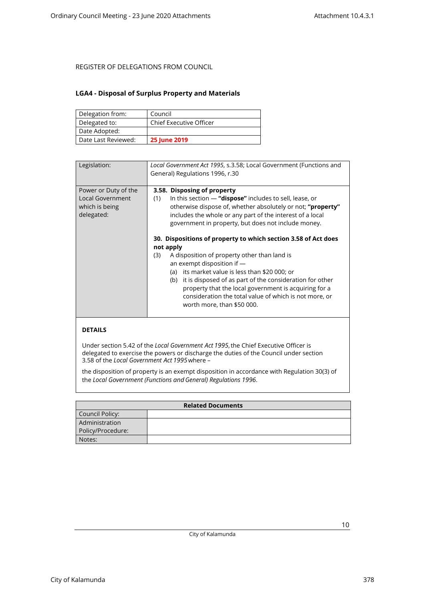#### <span id="page-9-0"></span>**LGA4 - Disposal of Surplus Property and Materials**

| Delegation from:    | Council                        |
|---------------------|--------------------------------|
| Delegated to:       | <b>Chief Executive Officer</b> |
| Date Adopted:       |                                |
| Date Last Reviewed: | <b>25 June 2019</b>            |

| Legislation:                                                             | Local Government Act 1995, s.3.58; Local Government (Functions and<br>General) Regulations 1996, r.30                                                                                                                                                                                                                                                                                                                                 |
|--------------------------------------------------------------------------|---------------------------------------------------------------------------------------------------------------------------------------------------------------------------------------------------------------------------------------------------------------------------------------------------------------------------------------------------------------------------------------------------------------------------------------|
| Power or Duty of the<br>Local Government<br>which is being<br>delegated: | 3.58. Disposing of property<br>In this section $-$ "dispose" includes to sell, lease, or<br>(1)<br>otherwise dispose of, whether absolutely or not; "property"<br>includes the whole or any part of the interest of a local<br>government in property, but does not include money.                                                                                                                                                    |
|                                                                          | 30. Dispositions of property to which section 3.58 of Act does<br>not apply<br>A disposition of property other than land is<br>(3)<br>an exempt disposition if $-$<br>(a) its market value is less than \$20 000; or<br>(b) it is disposed of as part of the consideration for other<br>property that the local government is acquiring for a<br>consideration the total value of which is not more, or<br>worth more, than \$50 000. |
|                                                                          |                                                                                                                                                                                                                                                                                                                                                                                                                                       |

#### **DETAILS**

Under section 5.42 of the *Local Government Act 1995*, the Chief Executive Officer is delegated to exercise the powers or discharge the duties of the Council under section 3.58 of the *Local Government Act 1995*where –

the disposition of property is an exempt disposition in accordance with Regulation 30(3) of the *Local Government (Functions and General) Regulations 1996*.

| <b>Related Documents</b> |  |
|--------------------------|--|
| Council Policy:          |  |
| Administration           |  |
| Policy/Procedure:        |  |
| Notes:                   |  |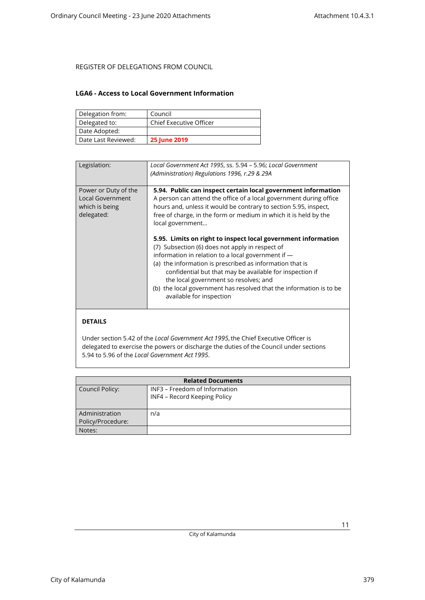#### <span id="page-10-0"></span>**LGA6 - Access to Local Government Information**

| Delegation from:    | Council                        |
|---------------------|--------------------------------|
| Delegated to:       | <b>Chief Executive Officer</b> |
| Date Adopted:       |                                |
| Date Last Reviewed: | <b>25 June 2019</b>            |

| Legislation:            | Local Government Act 1995, ss. 5.94 - 5.96; Local Government        |
|-------------------------|---------------------------------------------------------------------|
|                         | (Administration) Regulations 1996, r.29 & 29A                       |
|                         |                                                                     |
|                         |                                                                     |
| Power or Duty of the    | 5.94. Public can inspect certain local government information       |
| <b>Local Government</b> | A person can attend the office of a local government during office  |
| which is being          | hours and, unless it would be contrary to section 5.95, inspect,    |
| delegated:              | free of charge, in the form or medium in which it is held by the    |
|                         | local government                                                    |
|                         |                                                                     |
|                         | 5.95. Limits on right to inspect local government information       |
|                         |                                                                     |
|                         | (7) Subsection (6) does not apply in respect of                     |
|                         | information in relation to a local government if -                  |
|                         | (a) the information is prescribed as information that is            |
|                         | confidential but that may be available for inspection if            |
|                         | the local government so resolves; and                               |
|                         |                                                                     |
|                         | (b) the local government has resolved that the information is to be |
|                         | available for inspection                                            |
|                         |                                                                     |
|                         |                                                                     |
|                         |                                                                     |

### **DETAILS**

Under section 5.42 of the *Local Government Act 1995*, the Chief Executive Officer is delegated to exercise the powers or discharge the duties of the Council under sections 5.94 to 5.96 of the *Local Government Act 1995*.

| <b>Related Documents</b> |                               |
|--------------------------|-------------------------------|
| Council Policy:          | INF3 - Freedom of Information |
|                          | INF4 - Record Keeping Policy  |
|                          |                               |
| Administration           | n/a                           |
| Policy/Procedure:        |                               |
| Notes:                   |                               |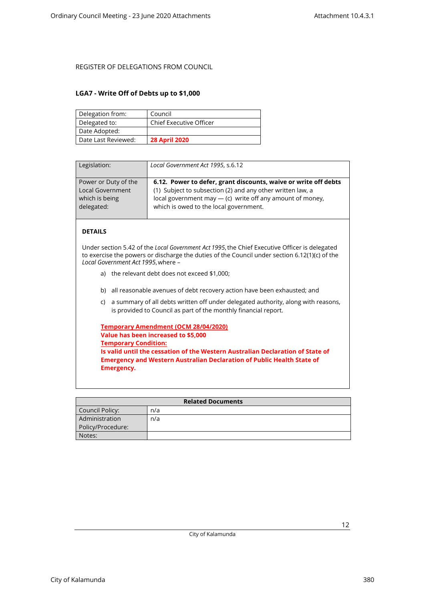#### <span id="page-11-0"></span>**LGA7 - Write Off of Debts up to \$1,000**

| Delegation from:    | Council                        |
|---------------------|--------------------------------|
| Delegated to:       | <b>Chief Executive Officer</b> |
| Date Adopted:       |                                |
| Date Last Reviewed: | <b>28 April 2020</b>           |

| Legislation:            | Local Government Act 1995, s.6.12                               |
|-------------------------|-----------------------------------------------------------------|
| Power or Duty of the    | 6.12. Power to defer, grant discounts, waive or write off debts |
| <b>Local Government</b> | (1) Subject to subsection (2) and any other written law, a      |
| which is being          | local government may $-$ (c) write off any amount of money,     |
| delegated:              | which is owed to the local government.                          |

### **DETAILS**

Under section 5.42 of the *Local Government Act 1995*, the Chief Executive Officer is delegated to exercise the powers or discharge the duties of the Council under section 6.12(1)(c) of the *Local Government Act 1995*, where –

- a) the relevant debt does not exceed \$1,000;
- b) all reasonable avenues of debt recovery action have been exhausted; and
- c) a summary of all debts written off under delegated authority, along with reasons, is provided to Council as part of the monthly financial report.

| <b>Temporary Amendment (OCM 28/04/2020)</b>                                    |
|--------------------------------------------------------------------------------|
| Value has been increased to \$5,000                                            |
| <b>Temporary Condition:</b>                                                    |
| Is valid until the cessation of the Western Australian Declaration of State of |
| <b>Emergency and Western Australian Declaration of Public Health State of</b>  |
| Emergency.                                                                     |

| <b>Related Documents</b> |     |
|--------------------------|-----|
| Council Policy:          | n/a |
| Administration           | n/a |
| Policy/Procedure:        |     |
| Notes:                   |     |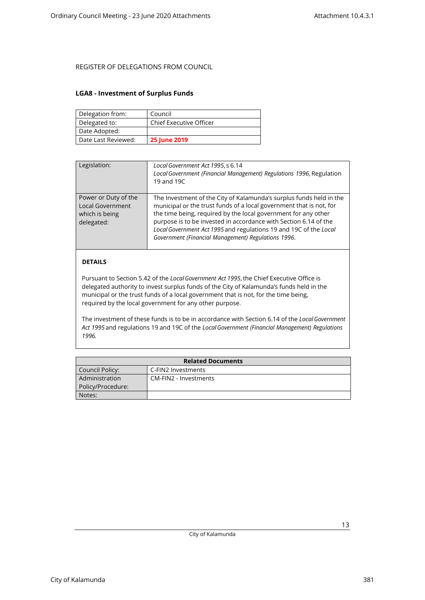#### <span id="page-12-0"></span>**LGA8 - Investment of Surplus Funds**

| Delegation from:    | Council                        |
|---------------------|--------------------------------|
| Delegated to:       | <b>Chief Executive Officer</b> |
| Date Adopted:       |                                |
| Date Last Reviewed: | <b>25 June 2019</b>            |

| Legislation:                                                             | Local Government Act 1995, s 6.14<br>Local Government (Financial Management) Regulations 1996, Regulation<br>19 and 19C                                                                                                                                                                                                                                                                                      |
|--------------------------------------------------------------------------|--------------------------------------------------------------------------------------------------------------------------------------------------------------------------------------------------------------------------------------------------------------------------------------------------------------------------------------------------------------------------------------------------------------|
| Power or Duty of the<br>Local Government<br>which is being<br>delegated: | The Investment of the City of Kalamunda's surplus funds held in the<br>municipal or the trust funds of a local government that is not, for<br>the time being, required by the local government for any other<br>purpose is to be invested in accordance with Section 6.14 of the<br>Local Government Act 1995 and regulations 19 and 19C of the Local<br>Government (Financial Management) Regulations 1996. |
|                                                                          |                                                                                                                                                                                                                                                                                                                                                                                                              |

### **DETAILS**

Pursuant to Section 5.42 of the *Local Government Act 1995*, the Chief Executive Office is delegated authority to invest surplus funds of the City of Kalamunda's funds held in the municipal or the trust funds of a local government that is not, for the time being, required by the local government for any other purpose.

The investment of these funds is to be in accordance with Section 6.14 of the *Local Government Act 1995* and regulations 19 and 19C of the *Local Government (Financial Management) Regulations 1996.*

| <b>Related Documents</b> |                       |
|--------------------------|-----------------------|
| Council Policy:          | C-FIN2 Investments    |
| Administration           | CM-FIN2 - Investments |
| Policy/Procedure:        |                       |
| Notes:                   |                       |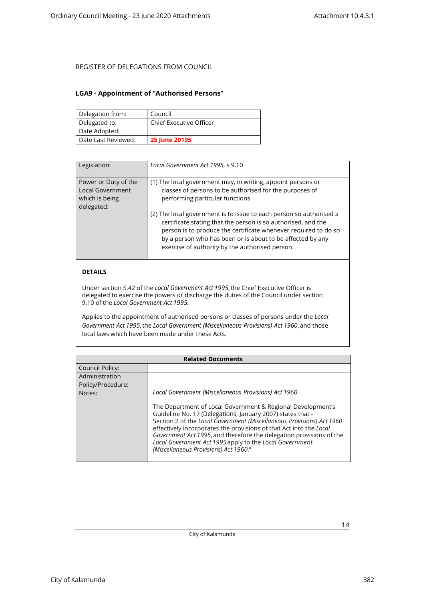#### <span id="page-13-0"></span>**LGA9 - Appointment of "Authorised Persons"**

| Delegation from:    | Council                        |
|---------------------|--------------------------------|
| Delegated to:       | <b>Chief Executive Officer</b> |
| Date Adopted:       |                                |
| Date Last Reviewed: | 25 June 20195                  |

| Legislation:                                                                    | Local Government Act 1995, s.9.10                                                                                                                                                                                                                                                                                        |
|---------------------------------------------------------------------------------|--------------------------------------------------------------------------------------------------------------------------------------------------------------------------------------------------------------------------------------------------------------------------------------------------------------------------|
| Power or Duty of the<br><b>Local Government</b><br>which is being<br>delegated: | (1) The local government may, in writing, appoint persons or<br>classes of persons to be authorised for the purposes of<br>performing particular functions                                                                                                                                                               |
|                                                                                 | (2) The local government is to issue to each person so authorised a<br>certificate stating that the person is so authorised, and the<br>person is to produce the certificate whenever required to do so<br>by a person who has been or is about to be affected by any<br>exercise of authority by the authorised person. |

### **DETAILS**

Under section 5.42 of the *Local Government Act 1995*, the Chief Executive Officer is delegated to exercise the powers or discharge the duties of the Council under section 9.10 of the *Local Government Act 1995.*

Applies to the appointment of authorised persons or classes of persons under the *Local Government Act 1995*, the *Local Government (Miscellaneous Provisions) Act 1960*, and those local laws which have been made under these Acts.

| <b>Related Documents</b> |                                                                                                                                                                                                                                                                                                                                                                                                                                                     |
|--------------------------|-----------------------------------------------------------------------------------------------------------------------------------------------------------------------------------------------------------------------------------------------------------------------------------------------------------------------------------------------------------------------------------------------------------------------------------------------------|
| Council Policy:          |                                                                                                                                                                                                                                                                                                                                                                                                                                                     |
| Administration           |                                                                                                                                                                                                                                                                                                                                                                                                                                                     |
| Policy/Procedure:        |                                                                                                                                                                                                                                                                                                                                                                                                                                                     |
| Notes:                   | Local Government (Miscellaneous Provisions) Act 1960                                                                                                                                                                                                                                                                                                                                                                                                |
|                          | The Department of Local Government & Regional Development's<br>Guideline No. 17 (Delegations, January 2007) states that -<br>Section 2 of the Local Government (Miscellaneous Provisions) Act 1960<br>effectively incorporates the provisions of that Act into the Local<br>Government Act 1995, and therefore the delegation provisions of the<br>Local Government Act 1995 apply to the Local Government<br>(Miscellaneous Provisions) Act 1960." |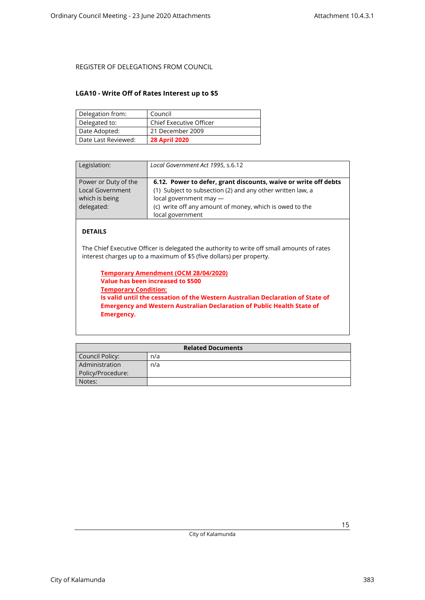### <span id="page-14-0"></span>**LGA10 - Write Off of Rates Interest up to \$5**

| Delegation from:    | Council                        |
|---------------------|--------------------------------|
| Delegated to:       | <b>Chief Executive Officer</b> |
| Date Adopted:       | 21 December 2009               |
| Date Last Reviewed: | <b>28 April 2020</b>           |

| Legislation:                                                                    | Local Government Act 1995, s.6.12                                                                                                                                                                                                      |
|---------------------------------------------------------------------------------|----------------------------------------------------------------------------------------------------------------------------------------------------------------------------------------------------------------------------------------|
| Power or Duty of the<br><b>Local Government</b><br>which is being<br>delegated: | 6.12. Power to defer, grant discounts, waive or write off debts<br>(1) Subject to subsection (2) and any other written law, a<br>local government may -<br>(c) write off any amount of money, which is owed to the<br>local government |

### **DETAILS**

The Chief Executive Officer is delegated the authority to write off small amounts of rates interest charges up to a maximum of \$5 (five dollars) per property.

**Temporary Amendment (OCM 28/04/2020) Value has been increased to \$500 Temporary Condition: Is valid until the cessation of the Western Australian Declaration of State of Emergency and Western Australian Declaration of Public Health State of Emergency.**

| <b>Related Documents</b> |     |
|--------------------------|-----|
| Council Policy:          | n/a |
| Administration           | n/a |
| Policy/Procedure:        |     |
| Notes:                   |     |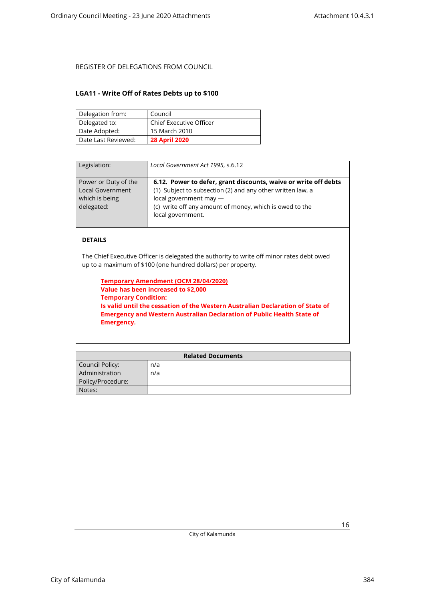#### <span id="page-15-0"></span>**LGA11 - Write Off of Rates Debts up to \$100**

| Delegation from:    | Council                        |
|---------------------|--------------------------------|
| Delegated to:       | <b>Chief Executive Officer</b> |
| Date Adopted:       | 15 March 2010                  |
| Date Last Reviewed: | <b>28 April 2020</b>           |

| Legislation:                                                                    | Local Government Act 1995, s.6.12                                                                                                                                                                                                       |
|---------------------------------------------------------------------------------|-----------------------------------------------------------------------------------------------------------------------------------------------------------------------------------------------------------------------------------------|
| Power or Duty of the<br><b>Local Government</b><br>which is being<br>delegated: | 6.12. Power to defer, grant discounts, waive or write off debts<br>(1) Subject to subsection (2) and any other written law, a<br>local government may -<br>(c) write off any amount of money, which is owed to the<br>local government. |

#### **DETAILS**

The Chief Executive Officer is delegated the authority to write off minor rates debt owed up to a maximum of \$100 (one hundred dollars) per property.

**Temporary Amendment (OCM 28/04/2020) Value has been increased to \$2,000 Temporary Condition: Is valid until the cessation of the Western Australian Declaration of State of Emergency and Western Australian Declaration of Public Health State of Emergency.**

| <b>Related Documents</b> |     |
|--------------------------|-----|
| Council Policy:          | n/a |
| Administration           | n/a |
| Policy/Procedure:        |     |
| Notes:                   |     |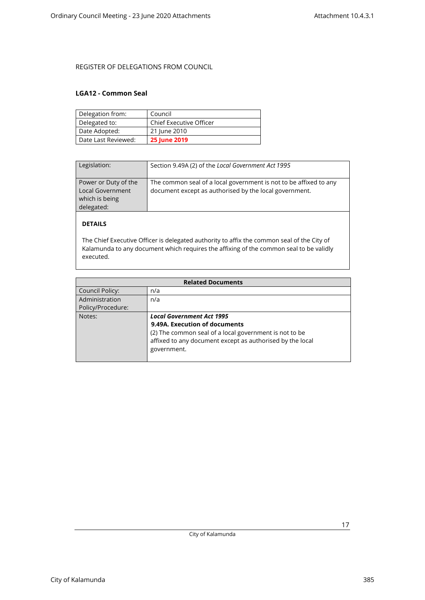#### <span id="page-16-0"></span>**LGA12 - Common Seal**

| Delegation from:    | Council                        |
|---------------------|--------------------------------|
| Delegated to:       | <b>Chief Executive Officer</b> |
| Date Adopted:       | 21 June 2010                   |
| Date Last Reviewed: | <b>25 June 2019</b>            |

| Legislation:                                                             | Section 9.49A (2) of the Local Government Act 1995                                                                          |
|--------------------------------------------------------------------------|-----------------------------------------------------------------------------------------------------------------------------|
| Power or Duty of the<br>Local Government<br>which is being<br>delegated: | The common seal of a local government is not to be affixed to any<br>document except as authorised by the local government. |

### **DETAILS**

The Chief Executive Officer is delegated authority to affix the common seal of the City of Kalamunda to any document which requires the affixing of the common seal to be validly executed.

| <b>Related Documents</b> |                                                           |  |
|--------------------------|-----------------------------------------------------------|--|
| Council Policy:          | n/a                                                       |  |
| Administration           | n/a                                                       |  |
| Policy/Procedure:        |                                                           |  |
| Notes:                   | <b>Local Government Act 1995</b>                          |  |
|                          | 9.49A. Execution of documents                             |  |
|                          | (2) The common seal of a local government is not to be    |  |
|                          | affixed to any document except as authorised by the local |  |
|                          | government.                                               |  |
|                          |                                                           |  |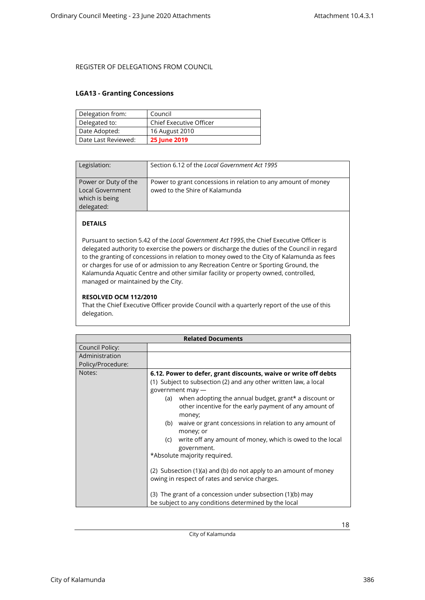#### <span id="page-17-0"></span>**LGA13 - Granting Concessions**

| Delegation from:    | Council                        |
|---------------------|--------------------------------|
| Delegated to:       | <b>Chief Executive Officer</b> |
| Date Adopted:       | 16 August 2010                 |
| Date Last Reviewed: | <b>25 June 2019</b>            |

| Legislation:                                                             | Section 6.12 of the Local Government Act 1995                                                   |
|--------------------------------------------------------------------------|-------------------------------------------------------------------------------------------------|
| Power or Duty of the<br>Local Government<br>which is being<br>delegated: | Power to grant concessions in relation to any amount of money<br>owed to the Shire of Kalamunda |

### **DETAILS**

Pursuant to section 5.42 of the *Local Government Act 1995*, the Chief Executive Officer is delegated authority to exercise the powers or discharge the duties of the Council in regard to the granting of concessions in relation to money owed to the City of Kalamunda as fees or charges for use of or admission to any Recreation Centre or Sporting Ground, the Kalamunda Aquatic Centre and other similar facility or property owned, controlled, managed or maintained by the City.

#### **RESOLVED OCM 112/2010**

That the Chief Executive Officer provide Council with a quarterly report of the use of this delegation.

| <b>Related Documents</b> |                                                                                                                                                                                                                                                                                                                                                                                                                                                                                                                                                                                                                                                                                                                                          |
|--------------------------|------------------------------------------------------------------------------------------------------------------------------------------------------------------------------------------------------------------------------------------------------------------------------------------------------------------------------------------------------------------------------------------------------------------------------------------------------------------------------------------------------------------------------------------------------------------------------------------------------------------------------------------------------------------------------------------------------------------------------------------|
| Council Policy:          |                                                                                                                                                                                                                                                                                                                                                                                                                                                                                                                                                                                                                                                                                                                                          |
| Administration           |                                                                                                                                                                                                                                                                                                                                                                                                                                                                                                                                                                                                                                                                                                                                          |
| Policy/Procedure:        |                                                                                                                                                                                                                                                                                                                                                                                                                                                                                                                                                                                                                                                                                                                                          |
| Notes:                   | 6.12. Power to defer, grant discounts, waive or write off debts<br>(1) Subject to subsection (2) and any other written law, a local<br>government may -<br>when adopting the annual budget, grant* a discount or<br>(a)<br>other incentive for the early payment of any amount of<br>money;<br>waive or grant concessions in relation to any amount of<br>(b)<br>money; or<br>write off any amount of money, which is owed to the local<br>(c)<br>government.<br>*Absolute majority required.<br>(2) Subsection (1)(a) and (b) do not apply to an amount of money<br>owing in respect of rates and service charges.<br>(3) The grant of a concession under subsection (1)(b) may<br>be subject to any conditions determined by the local |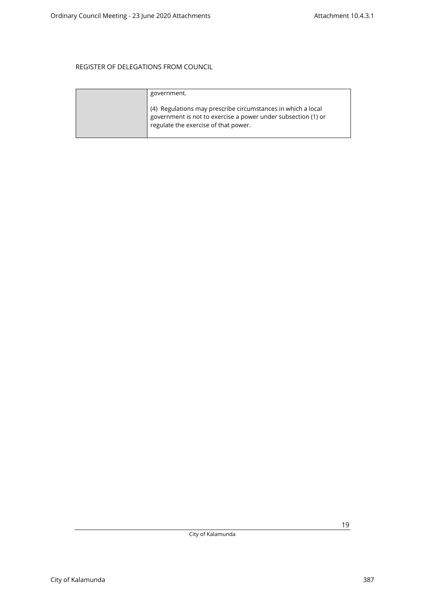| government.                                                                                                                                                           |
|-----------------------------------------------------------------------------------------------------------------------------------------------------------------------|
| (4) Regulations may prescribe circumstances in which a local<br>government is not to exercise a power under subsection (1) or<br>regulate the exercise of that power. |

City of Kalamunda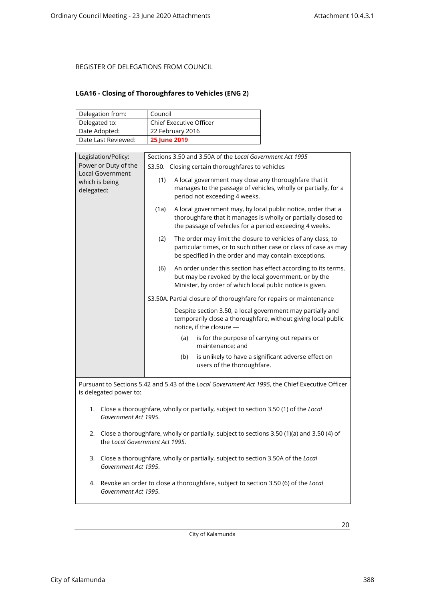### <span id="page-19-0"></span>**LGA16 - Closing of Thoroughfares to Vehicles (ENG 2)**

| Delegation from:    | Council                        |
|---------------------|--------------------------------|
| Delegated to:       | <b>Chief Executive Officer</b> |
| Date Adopted:       | 22 February 2016               |
| Date Last Reviewed: | <b>25 June 2019</b>            |

| Legislation/Policy:                                                                                            | Sections 3.50 and 3.50A of the Local Government Act 1995                                                                                                                                         |  |
|----------------------------------------------------------------------------------------------------------------|--------------------------------------------------------------------------------------------------------------------------------------------------------------------------------------------------|--|
| Power or Duty of the                                                                                           | S3.50. Closing certain thoroughfares to vehicles                                                                                                                                                 |  |
| <b>Local Government</b><br>which is being<br>delegated:                                                        | (1)<br>A local government may close any thoroughfare that it<br>manages to the passage of vehicles, wholly or partially, for a<br>period not exceeding 4 weeks.                                  |  |
|                                                                                                                | A local government may, by local public notice, order that a<br>(1a)<br>thoroughfare that it manages is wholly or partially closed to<br>the passage of vehicles for a period exceeding 4 weeks. |  |
|                                                                                                                | (2)<br>The order may limit the closure to vehicles of any class, to<br>particular times, or to such other case or class of case as may<br>be specified in the order and may contain exceptions.  |  |
|                                                                                                                | An order under this section has effect according to its terms,<br>(6)<br>but may be revoked by the local government, or by the<br>Minister, by order of which local public notice is given.      |  |
|                                                                                                                | S3.50A. Partial closure of thoroughfare for repairs or maintenance                                                                                                                               |  |
|                                                                                                                | Despite section 3.50, a local government may partially and<br>temporarily close a thoroughfare, without giving local public<br>notice, if the closure -                                          |  |
|                                                                                                                | is for the purpose of carrying out repairs or<br>(a)<br>maintenance; and                                                                                                                         |  |
|                                                                                                                | is unlikely to have a significant adverse effect on<br>(b)<br>users of the thoroughfare.                                                                                                         |  |
|                                                                                                                | Pursuant to Sections 5.42 and 5.43 of the Local Government Act 1995, the Chief Executive Officer                                                                                                 |  |
| is delegated power to:                                                                                         |                                                                                                                                                                                                  |  |
| 1. Close a thoroughfare, wholly or partially, subject to section 3.50 (1) of the Local<br>Government Act 1995. |                                                                                                                                                                                                  |  |
| the Local Government Act 1995.                                                                                 | 2. Close a thoroughfare, wholly or partially, subject to sections 3.50 (1)(a) and 3.50 (4) of                                                                                                    |  |
| Government Act 1995.                                                                                           | 3. Close a thoroughfare, wholly or partially, subject to section 3.50A of the Local                                                                                                              |  |
| 4.<br>Government Act 1995.                                                                                     | Revoke an order to close a thoroughfare, subject to section 3.50 (6) of the Local                                                                                                                |  |

City of Kalamunda 388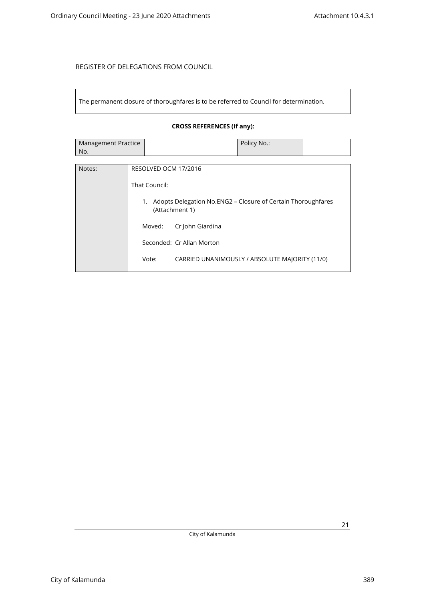The permanent closure of thoroughfares is to be referred to Council for determination.

### **CROSS REFERENCES (If any):**

| Management Practice | Policy No.: |  |
|---------------------|-------------|--|
| No.                 |             |  |

| Notes: | RESOLVED OCM 17/2016                                                                 |
|--------|--------------------------------------------------------------------------------------|
|        | That Council:                                                                        |
|        | Adopts Delegation No.ENG2 – Closure of Certain Thoroughfares<br>1.<br>(Attachment 1) |
|        | Cr John Giardina<br>Moved:                                                           |
|        | Seconded: Cr Allan Morton                                                            |
|        | Vote:<br>CARRIED UNANIMOUSLY / ABSOLUTE MAJORITY (11/0)                              |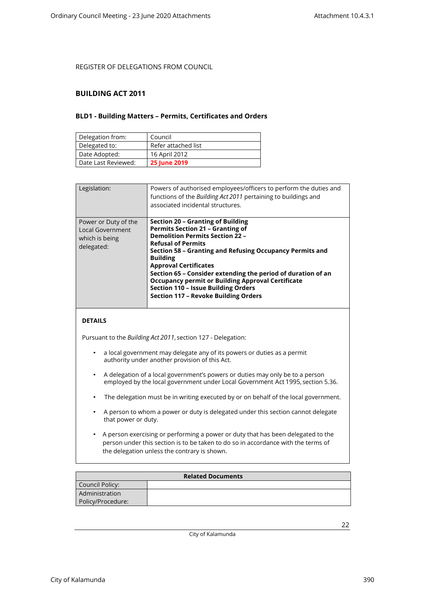#### <span id="page-21-1"></span><span id="page-21-0"></span>**BUILDING ACT 2011**

#### **BLD1 - Building Matters – Permits, Certificates and Orders**

| Delegation from:    | Council             |
|---------------------|---------------------|
| Delegated to:       | Refer attached list |
| Date Adopted:       | 16 April 2012       |
| Date Last Reviewed: | <b>25 June 2019</b> |

| Legislation:                                                             | Powers of authorised employees/officers to perform the duties and<br>functions of the Building Act 2011 pertaining to buildings and<br>associated incidental structures.                                                                                                                                                                                                                                                                                                                    |
|--------------------------------------------------------------------------|---------------------------------------------------------------------------------------------------------------------------------------------------------------------------------------------------------------------------------------------------------------------------------------------------------------------------------------------------------------------------------------------------------------------------------------------------------------------------------------------|
| Power or Duty of the<br>Local Government<br>which is being<br>delegated: | Section 20 - Granting of Building<br><b>Permits Section 21 - Granting of</b><br><b>Demolition Permits Section 22 -</b><br><b>Refusal of Permits</b><br>Section 58 – Granting and Refusing Occupancy Permits and<br><b>Building</b><br><b>Approval Certificates</b><br>Section 65 - Consider extending the period of duration of an<br><b>Occupancy permit or Building Approval Certificate</b><br><b>Section 110 - Issue Building Orders</b><br><b>Section 117 - Revoke Building Orders</b> |

#### **DETAILS**

Pursuant to the *Building Act 2011*, section 127 - Delegation:

- a local government may delegate any of its powers or duties as a permit authority under another provision of this Act.
- A delegation of a local government's powers or duties may only be to a person employed by the local government under Local Government Act 1995, section 5.36.
- The delegation must be in writing executed by or on behalf of the local government.
- A person to whom a power or duty is delegated under this section cannot delegate that power or duty.
- A person exercising or performing a power or duty that has been delegated to the person under this section is to be taken to do so in accordance with the terms of the delegation unless the contrary is shown.

| <b>Related Documents</b> |  |  |
|--------------------------|--|--|
| Council Policy:          |  |  |
| Administration           |  |  |
| Policy/Procedure:        |  |  |

City of Kalamunda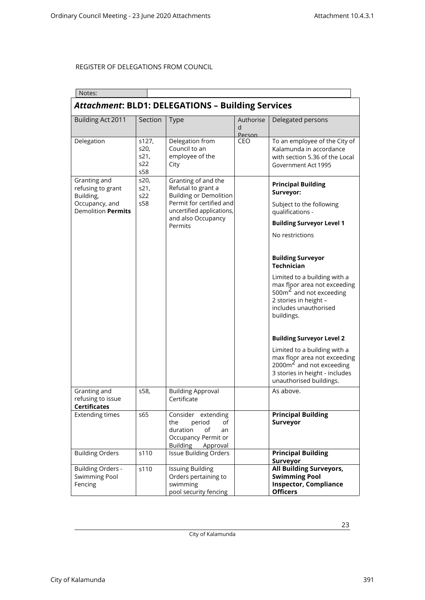| Notes:                                                                                        |                                     |                                                                                                                                     |                          |                                                                                                                                                                    |  |  |
|-----------------------------------------------------------------------------------------------|-------------------------------------|-------------------------------------------------------------------------------------------------------------------------------------|--------------------------|--------------------------------------------------------------------------------------------------------------------------------------------------------------------|--|--|
| <b>Attachment: BLD1: DELEGATIONS - Building Services</b>                                      |                                     |                                                                                                                                     |                          |                                                                                                                                                                    |  |  |
| Building Act 2011                                                                             | Section                             | <b>Type</b>                                                                                                                         | Authorise<br>d<br>Person | Delegated persons                                                                                                                                                  |  |  |
| Delegation                                                                                    | s127,<br>s20,<br>s21,<br>s22<br>s58 | Delegation from<br>Council to an<br>employee of the<br>City                                                                         | CEO                      | To an employee of the City of<br>Kalamunda in accordance<br>with section 5.36 of the Local<br>Government Act 1995                                                  |  |  |
| Granting and<br>refusing to grant<br>Building,<br>Occupancy, and<br><b>Demolition Permits</b> | s20,<br>s21,<br>s22<br>s58          | Granting of and the<br>Refusal to grant a<br><b>Building or Demolition</b><br>Permit for certified and<br>uncertified applications, |                          | <b>Principal Building</b><br>Surveyor:<br>Subject to the following<br>qualifications -                                                                             |  |  |
|                                                                                               |                                     | and also Occupancy<br>Permits                                                                                                       |                          | <b>Building Surveyor Level 1</b>                                                                                                                                   |  |  |
|                                                                                               |                                     |                                                                                                                                     |                          | No restrictions                                                                                                                                                    |  |  |
|                                                                                               |                                     |                                                                                                                                     |                          | <b>Building Surveyor</b><br><b>Technician</b>                                                                                                                      |  |  |
|                                                                                               |                                     |                                                                                                                                     |                          | Limited to a building with a<br>max floor area not exceeding<br>500 $\text{m}^2$ and not exceeding<br>2 stories in height -<br>includes unauthorised<br>buildings. |  |  |
|                                                                                               |                                     |                                                                                                                                     |                          | <b>Building Surveyor Level 2</b>                                                                                                                                   |  |  |
|                                                                                               |                                     |                                                                                                                                     |                          | Limited to a building with a<br>max floor area not exceeding<br>$2000 \text{m}^2$ and not exceeding<br>3 stories in height - includes<br>unauthorised buildings.   |  |  |
| Granting and<br>refusing to issue<br><b>Certificates</b>                                      | s58,                                | <b>Building Approval</b><br>Certificate                                                                                             |                          | As above.                                                                                                                                                          |  |  |
| <b>Extending times</b>                                                                        | s65                                 | Consider extending<br>the<br>period<br>of<br>duration<br>of<br>an<br>Occupancy Permit or<br><b>Building</b><br>Approval             |                          | <b>Principal Building</b><br>Surveyor                                                                                                                              |  |  |
| <b>Building Orders</b>                                                                        | s110                                | <b>Issue Building Orders</b>                                                                                                        |                          | <b>Principal Building</b><br>Surveyor                                                                                                                              |  |  |
| <b>Building Orders -</b><br><b>Swimming Pool</b><br>Fencing                                   | s110                                | <b>Issuing Building</b><br>Orders pertaining to<br>swimming<br>pool security fencing                                                |                          | <b>All Building Surveyors,</b><br><b>Swimming Pool</b><br><b>Inspector, Compliance</b><br><b>Officers</b>                                                          |  |  |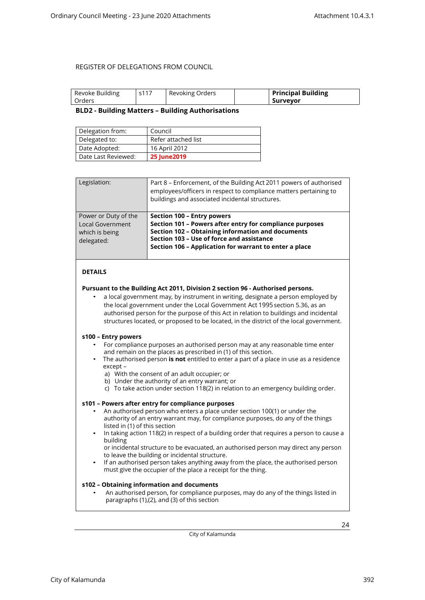<span id="page-23-0"></span>

| Revoke Building | s117 | Revoking Orders | <b>Principal Building</b> |
|-----------------|------|-----------------|---------------------------|
| Orders          |      |                 | . Surveyor                |

#### **BLD2 - Building Matters – Building Authorisations**

| Delegation from:    | Council             |
|---------------------|---------------------|
| Delegated to:       | Refer attached list |
| Date Adopted:       | 16 April 2012       |
| Date Last Reviewed: | <b>25 June 2019</b> |

| Legislation:                                                                    | Part 8 – Enforcement, of the Building Act 2011 powers of authorised<br>employees/officers in respect to compliance matters pertaining to<br>buildings and associated incidental structures.                                                               |
|---------------------------------------------------------------------------------|-----------------------------------------------------------------------------------------------------------------------------------------------------------------------------------------------------------------------------------------------------------|
| Power or Duty of the<br><b>Local Government</b><br>which is being<br>delegated: | Section 100 - Entry powers<br>Section 101 - Powers after entry for compliance purposes<br><b>Section 102 - Obtaining information and documents</b><br>Section 103 - Use of force and assistance<br>Section 106 - Application for warrant to enter a place |

#### **DETAILS**

#### **Pursuant to the Building Act 2011, Division 2 section 96 - Authorised persons.**

• a local government may, by instrument in writing, designate a person employed by the local government under the Local Government Act 1995 section 5.36, as an authorised person for the purpose of this Act in relation to buildings and incidental structures located, or proposed to be located, in the district of the local government.

#### **s100 – Entry powers**

- For compliance purposes an authorised person may at any reasonable time enter and remain on the places as prescribed in (1) of this section.
- The authorised person **is not** entitled to enter a part of a place in use as a residence except –
	- a) With the consent of an adult occupier; or
	- b) Under the authority of an entry warrant; or
	- c) To take action under section 118(2) in relation to an emergency building order.

#### **s101 – Powers after entry for compliance purposes**

- An authorised person who enters a place under section 100(1) or under the authority of an entry warrant may, for compliance purposes, do any of the things listed in (1) of this section
- In taking action 118(2) in respect of a building order that requires a person to cause a building
	- or incidental structure to be evacuated, an authorised person may direct any person to leave the building or incidental structure.
- If an authorised person takes anything away from the place, the authorised person must give the occupier of the place a receipt for the thing.

#### **s102 – Obtaining information and documents**

• An authorised person, for compliance purposes, may do any of the things listed in paragraphs (1),(2), and (3) of this section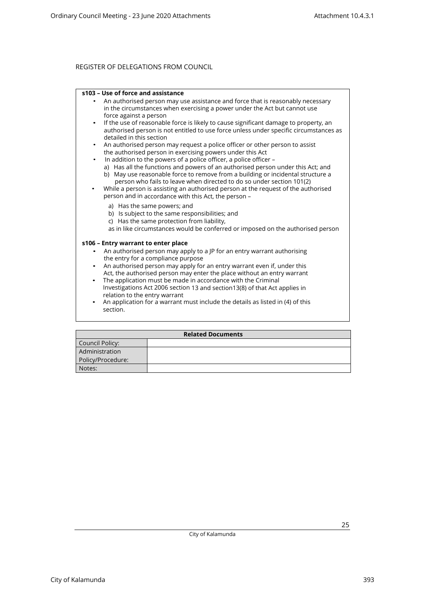#### **s103 – Use of force and assistance**

- An authorised person may use assistance and force that is reasonably necessary in the circumstances when exercising a power under the Act but cannot use force against a person
- If the use of reasonable force is likely to cause significant damage to property, an authorised person is not entitled to use force unless under specific circumstances as detailed in this section
- An authorised person may request a police officer or other person to assist the authorised person in exercising powers under this Act
	- In addition to the powers of a police officer, a police officer –
	- a) Has all the functions and powers of an authorised person under this Act; and b) May use reasonable force to remove from a building or incidental structure a
- person who fails to leave when directed to do so under section 101(2) • While a person is assisting an authorised person at the request of the authorised person and in accordance with this Act, the person –
	- a) Has the same powers; and
	- b) Is subject to the same responsibilities; and
	- c) Has the same protection from liability,
	- as in like circumstances would be conferred or imposed on the authorised person

#### **s106 – Entry warrant to enter place**

- An authorised person may apply to a JP for an entry warrant authorising the entry for a compliance purpose
- An authorised person may apply for an entry warrant even if, under this Act, the authorised person may enter the place without an entry warrant
- The application must be made in accordance with the Criminal Investigations Act 2006 section 13 and section13(8) of that Act applies in relation to the entry warrant
- An application for a warrant must include the details as listed in (4) of this section.

| <b>Related Documents</b> |  |  |  |
|--------------------------|--|--|--|
| Council Policy:          |  |  |  |
| Administration           |  |  |  |
| Policy/Procedure:        |  |  |  |
| Notes:                   |  |  |  |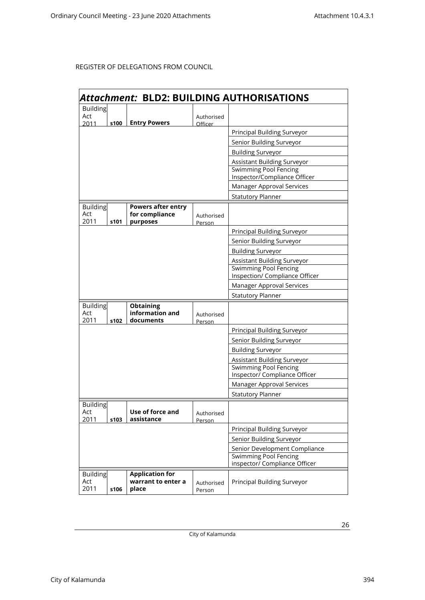|                        | Attachment: BLD2: BUILDING AUTHORISATIONS |                                                               |                      |                                                              |
|------------------------|-------------------------------------------|---------------------------------------------------------------|----------------------|--------------------------------------------------------------|
| <b>Building</b>        |                                           |                                                               |                      |                                                              |
| Act                    |                                           |                                                               | Authorised           |                                                              |
| 2011                   | s100                                      | <b>Entry Powers</b>                                           | Officer              | Principal Building Surveyor                                  |
|                        |                                           |                                                               |                      |                                                              |
|                        |                                           |                                                               |                      | Senior Building Surveyor                                     |
|                        |                                           |                                                               |                      | <b>Building Surveyor</b>                                     |
|                        |                                           |                                                               |                      | Assistant Building Surveyor                                  |
|                        |                                           |                                                               |                      | <b>Swimming Pool Fencing</b><br>Inspector/Compliance Officer |
|                        |                                           |                                                               |                      | Manager Approval Services                                    |
|                        |                                           |                                                               |                      | <b>Statutory Planner</b>                                     |
| <b>Building</b><br>Act |                                           | <b>Powers after entry</b><br>for compliance                   | Authorised           |                                                              |
| 2011                   | s101                                      | purposes                                                      | Person               | <b>Principal Building Surveyor</b>                           |
|                        |                                           |                                                               |                      | Senior Building Surveyor                                     |
|                        |                                           |                                                               |                      | <b>Building Surveyor</b>                                     |
|                        |                                           |                                                               |                      | Assistant Building Surveyor                                  |
|                        |                                           |                                                               |                      | <b>Swimming Pool Fencing</b>                                 |
|                        |                                           |                                                               |                      | Inspection/ Compliance Officer                               |
|                        |                                           |                                                               |                      | Manager Approval Services                                    |
|                        |                                           |                                                               |                      | <b>Statutory Planner</b>                                     |
| Building               |                                           | <b>Obtaining</b>                                              |                      |                                                              |
| Act<br>2011            | s102                                      | information and<br>documents                                  | Authorised           |                                                              |
|                        |                                           |                                                               | Person               | Principal Building Surveyor                                  |
|                        |                                           |                                                               |                      | Senior Building Surveyor                                     |
|                        |                                           |                                                               |                      | <b>Building Surveyor</b>                                     |
|                        |                                           |                                                               |                      | Assistant Building Surveyor                                  |
|                        |                                           |                                                               |                      | <b>Swimming Pool Fencing</b>                                 |
|                        |                                           |                                                               |                      | Inspector/ Compliance Officer                                |
|                        |                                           |                                                               |                      | Manager Approval Services                                    |
|                        |                                           |                                                               |                      | <b>Statutory Planner</b>                                     |
| <b>Building</b>        |                                           |                                                               |                      |                                                              |
| Act                    |                                           | Use of force and                                              | Authorised           |                                                              |
| 2011                   | s103                                      | assistance                                                    | Person               |                                                              |
|                        |                                           |                                                               |                      | Principal Building Surveyor                                  |
|                        |                                           | Senior Building Surveyor                                      |                      |                                                              |
|                        |                                           | Senior Development Compliance<br><b>Swimming Pool Fencing</b> |                      |                                                              |
|                        |                                           | inspector/ Compliance Officer                                 |                      |                                                              |
| <b>Building</b>        |                                           | <b>Application for</b>                                        |                      |                                                              |
| Act<br>2011            | s106                                      | warrant to enter a<br>place                                   | Authorised<br>Person | Principal Building Surveyor                                  |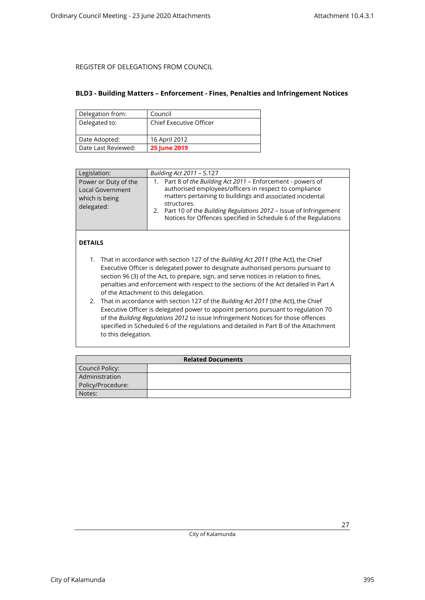#### <span id="page-26-0"></span>**BLD3 - Building Matters – Enforcement - Fines, Penalties and Infringement Notices**

| Delegation from:    | Council                        |
|---------------------|--------------------------------|
| Delegated to:       | <b>Chief Executive Officer</b> |
|                     |                                |
| Date Adopted:       | 16 April 2012                  |
| Date Last Reviewed: | <b>25 June 2019</b>            |

| Legislation:                                                                    | Building Act 2011 - S.127                                                                                                                                                                                                                                                                                                                       |
|---------------------------------------------------------------------------------|-------------------------------------------------------------------------------------------------------------------------------------------------------------------------------------------------------------------------------------------------------------------------------------------------------------------------------------------------|
| Power or Duty of the<br><b>Local Government</b><br>which is being<br>delegated: | Part 8 of the Building Act 2011 - Enforcement - powers of<br>1.<br>authorised employees/officers in respect to compliance<br>matters pertaining to buildings and associated incidental<br>structures.<br>2. Part 10 of the Building Regulations 2012 - Issue of Infringement<br>Notices for Offences specified in Schedule 6 of the Regulations |

### **DETAILS**

- 1. That in accordance with section 127 of the *Building Act 2011* (the Act), the Chief Executive Officer is delegated power to designate authorised persons pursuant to section 96 (3) of the Act, to prepare, sign, and serve notices in relation to fines, penalties and enforcement with respect to the sections of the Act detailed in Part A of the Attachment to this delegation.
- 2. That in accordance with section 127 of the *Building Act 2011* (the Act), the Chief Executive Officer is delegated power to appoint persons pursuant to regulation 70 of the *Building Regulations 2012* to issue Infringement Notices for those offences specified in Scheduled 6 of the regulations and detailed in Part B of the Attachment to this delegation.

| <b>Related Documents</b> |  |  |
|--------------------------|--|--|
| Council Policy:          |  |  |
| Administration           |  |  |
| Policy/Procedure:        |  |  |
| Notes:                   |  |  |

City of Kalamunda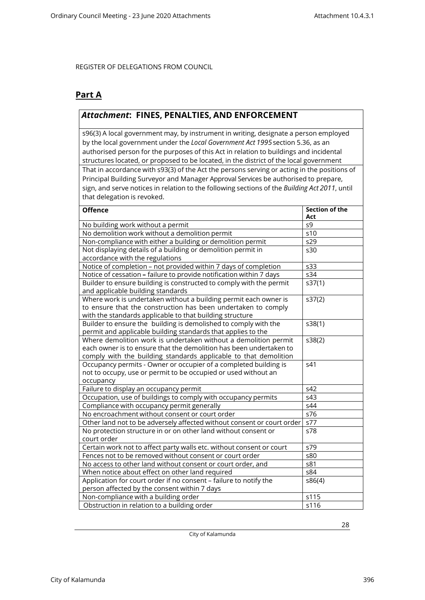### **Part A**

### *Attachment***: FINES, PENALTIES, AND ENFORCEMENT**

s96(3) A local government may, by instrument in writing, designate a person employed by the local government under the *Local Government Act 1995*section 5.36, as an authorised person for the purposes of this Act in relation to buildings and incidental structures located, or proposed to be located, in the district of the local government That in accordance with s93(3) of the Act the persons serving or acting in the positions of Principal Building Surveyor and Manager Approval Services be authorised to prepare, sign, and serve notices in relation to the following sections of the *Building Act 2011*, until that delegation is revoked.

| <b>Offence</b>                                                         | <b>Section of the</b><br>Act |
|------------------------------------------------------------------------|------------------------------|
| No building work without a permit                                      | s9                           |
| No demolition work without a demolition permit                         | s10                          |
| Non-compliance with either a building or demolition permit             | s29                          |
| Not displaying details of a building or demolition permit in           | s30                          |
| accordance with the regulations                                        |                              |
| Notice of completion - not provided within 7 days of completion        | s33                          |
| Notice of cessation - failure to provide notification within 7 days    | s34                          |
| Builder to ensure building is constructed to comply with the permit    | s37(1)                       |
| and applicable building standards                                      |                              |
| Where work is undertaken without a building permit each owner is       | s37(2)                       |
| to ensure that the construction has been undertaken to comply          |                              |
| with the standards applicable to that building structure               |                              |
| Builder to ensure the building is demolished to comply with the        | s38(1)                       |
| permit and applicable building standards that applies to the           |                              |
| Where demolition work is undertaken without a demolition permit        | s38(2)                       |
| each owner is to ensure that the demolition has been undertaken to     |                              |
| comply with the building standards applicable to that demolition       |                              |
| Occupancy permits - Owner or occupier of a completed building is       | s41                          |
| not to occupy, use or permit to be occupied or used without an         |                              |
| occupancy                                                              |                              |
| Failure to display an occupancy permit                                 | s42                          |
| Occupation, use of buildings to comply with occupancy permits          | s43                          |
| Compliance with occupancy permit generally                             | s44                          |
| No encroachment without consent or court order                         | s76                          |
| Other land not to be adversely affected without consent or court order | s77                          |
| No protection structure in or on other land without consent or         | s78                          |
| court order                                                            |                              |
| Certain work not to affect party walls etc. without consent or court   | s79                          |
| Fences not to be removed without consent or court order                | s80                          |
| No access to other land without consent or court order, and            | s81                          |
| When notice about effect on other land required                        | s84                          |
| Application for court order if no consent - failure to notify the      | s86(4)                       |
| person affected by the consent within 7 days                           |                              |
| Non-compliance with a building order                                   | s115                         |
| Obstruction in relation to a building order                            | s116                         |

City of Kalamunda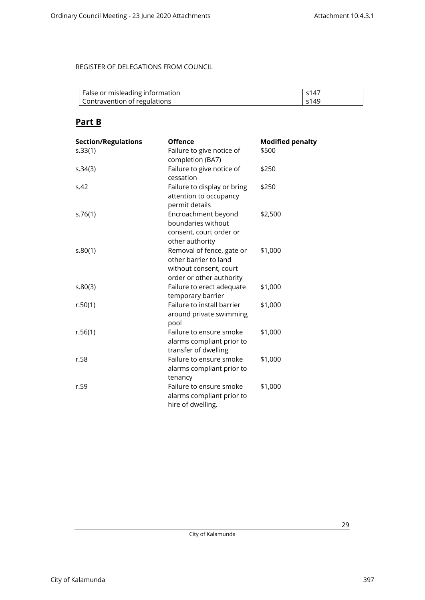| False or misleading information | s147                       |
|---------------------------------|----------------------------|
| Contravention of regulations    | $\varsigma$ 14 $\varsigma$ |

### **Part B**

| <b>Section/Regulations</b> | <b>Offence</b>                                                                                           | <b>Modified penalty</b> |
|----------------------------|----------------------------------------------------------------------------------------------------------|-------------------------|
| s.33(1)                    | Failure to give notice of<br>completion (BA7)                                                            | \$500                   |
| s.34(3)                    | Failure to give notice of<br>cessation                                                                   | \$250                   |
| S.42                       | Failure to display or bring<br>attention to occupancy<br>permit details                                  | \$250                   |
| s.76(1)                    | Encroachment beyond<br>boundaries without<br>consent, court order or<br>other authority                  | \$2,500                 |
| s.80(1)                    | Removal of fence, gate or<br>other barrier to land<br>without consent, court<br>order or other authority | \$1,000                 |
| 5.80(3)                    | Failure to erect adequate<br>temporary barrier                                                           | \$1,000                 |
| r.50(1)                    | Failure to install barrier<br>around private swimming<br>pool                                            | \$1,000                 |
| r.56(1)                    | Failure to ensure smoke<br>alarms compliant prior to<br>transfer of dwelling                             | \$1,000                 |
| r.58                       | Failure to ensure smoke<br>alarms compliant prior to<br>tenancy                                          | \$1,000                 |
| r.59                       | Failure to ensure smoke<br>alarms compliant prior to<br>hire of dwelling.                                | \$1,000                 |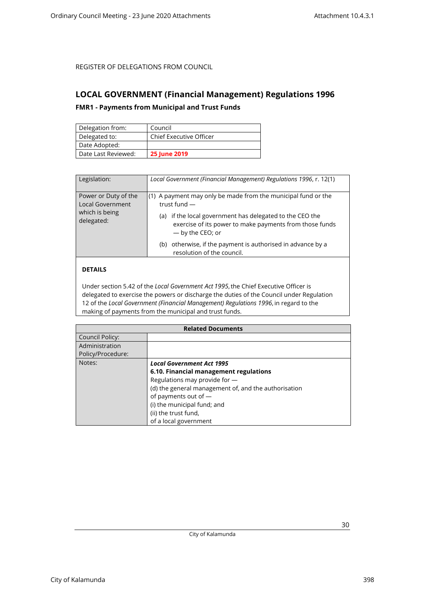### <span id="page-29-1"></span><span id="page-29-0"></span>**LOCAL GOVERNMENT (Financial Management) Regulations 1996**

#### **FMR1 - Payments from Municipal and Trust Funds**

| Delegation from:    | Council                        |
|---------------------|--------------------------------|
| Delegated to:       | <b>Chief Executive Officer</b> |
| Date Adopted:       |                                |
| Date Last Reviewed: | <b>25 June 2019</b>            |

| Legislation:                                                                    | Local Government (Financial Management) Regulations 1996, r. 12(1)                                                                                                                                                            |
|---------------------------------------------------------------------------------|-------------------------------------------------------------------------------------------------------------------------------------------------------------------------------------------------------------------------------|
| Power or Duty of the<br><b>Local Government</b><br>which is being<br>delegated: | (1) A payment may only be made from the municipal fund or the<br>trust fund $-$<br>if the local government has delegated to the CEO the<br>(a)<br>exercise of its power to make payments from those funds<br>- by the CEO; or |
|                                                                                 | otherwise, if the payment is authorised in advance by a<br>(b)<br>resolution of the council.                                                                                                                                  |

### **DETAILS**

Under section 5.42 of the *Local Government Act 1995*, the Chief Executive Officer is delegated to exercise the powers or discharge the duties of the Council under Regulation 12 of the *Local Government (Financial Management) Regulations 1996*, in regard to the making of payments from the municipal and trust funds.

| <b>Related Documents</b> |                                                      |
|--------------------------|------------------------------------------------------|
| Council Policy:          |                                                      |
| Administration           |                                                      |
| Policy/Procedure:        |                                                      |
| Notes:                   | <b>Local Government Act 1995</b>                     |
|                          | 6.10. Financial management regulations               |
|                          | Regulations may provide for -                        |
|                          | (d) the general management of, and the authorisation |
|                          | of payments out of -                                 |
|                          | (i) the municipal fund; and                          |
|                          | (ii) the trust fund,                                 |
|                          | of a local government                                |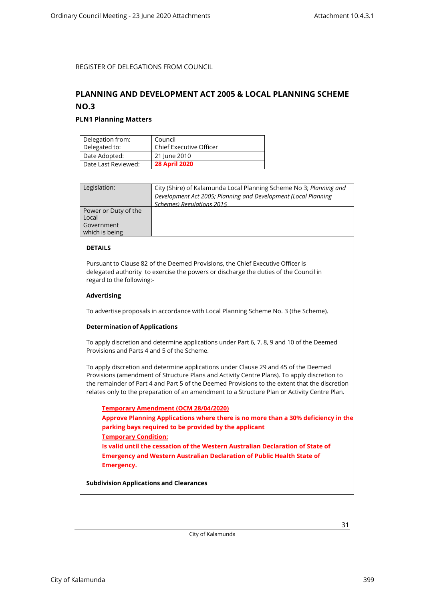### <span id="page-30-1"></span><span id="page-30-0"></span>**PLANNING AND DEVELOPMENT ACT 2005 & LOCAL PLANNING SCHEME NO.3**

#### **PLN1 Planning Matters**

| Delegation from:    | Council                        |
|---------------------|--------------------------------|
| Delegated to:       | <b>Chief Executive Officer</b> |
| Date Adopted:       | 21 June 2010                   |
| Date Last Reviewed: | <b>28 April 2020</b>           |

| Legislation:         | City (Shire) of Kalamunda Local Planning Scheme No 3; Planning and |
|----------------------|--------------------------------------------------------------------|
|                      | Development Act 2005; Planning and Development (Local Planning     |
|                      | <b>Schemes) Regulations 2015</b>                                   |
| Power or Duty of the |                                                                    |
| Local                |                                                                    |
| Government           |                                                                    |
| which is being       |                                                                    |
|                      |                                                                    |

#### **DETAILS**

Pursuant to Clause 82 of the Deemed Provisions, the Chief Executive Officer is delegated authority to exercise the powers or discharge the duties of the Council in regard to the following:-

#### **Advertising**

To advertise proposals in accordance with Local Planning Scheme No. 3 (the Scheme).

#### **Determination of Applications**

To apply discretion and determine applications under Part 6, 7, 8, 9 and 10 of the Deemed Provisions and Parts 4 and 5 of the Scheme.

To apply discretion and determine applications under Clause 29 and 45 of the Deemed Provisions (amendment of Structure Plans and Activity Centre Plans). To apply discretion to the remainder of Part 4 and Part 5 of the Deemed Provisions to the extent that the discretion relates only to the preparation of an amendment to a Structure Plan or Activity Centre Plan.

**Temporary Amendment (OCM 28/04/2020) Approve Planning Applications where there is no more than a 30% deficiency in the parking bays required to be provided by the applicant Temporary Condition: Is valid until the cessation of the Western Australian Declaration of State of Emergency and Western Australian Declaration of Public Health State of Emergency.**

**Subdivision Applications and Clearances**

City of Kalamunda 399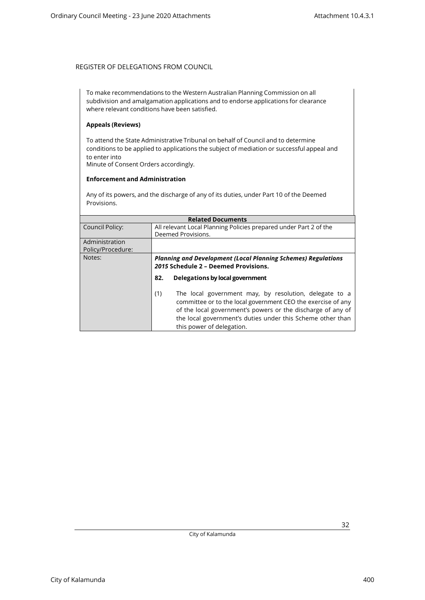To make recommendations to the Western Australian Planning Commission on all subdivision and amalgamation applications and to endorse applications for clearance where relevant conditions have been satisfied.

#### **Appeals (Reviews)**

To attend the State Administrative Tribunal on behalf of Council and to determine conditions to be applied to applications the subject of mediation or successful appeal and to enter into Minute of Consent Orders accordingly.

#### **Enforcement and Administration**

Any of its powers, and the discharge of any of its duties, under Part 10 of the Deemed Provisions.

| <b>Related Documents</b>            |                                                                                                                                                                                                                                                                                         |  |
|-------------------------------------|-----------------------------------------------------------------------------------------------------------------------------------------------------------------------------------------------------------------------------------------------------------------------------------------|--|
| Council Policy:                     | All relevant Local Planning Policies prepared under Part 2 of the<br>Deemed Provisions.                                                                                                                                                                                                 |  |
| Administration<br>Policy/Procedure: |                                                                                                                                                                                                                                                                                         |  |
| Notes:                              | <b>Planning and Development (Local Planning Schemes) Regulations</b><br>2015 Schedule 2 - Deemed Provisions.                                                                                                                                                                            |  |
|                                     | Delegations by local government<br>82.                                                                                                                                                                                                                                                  |  |
|                                     | The local government may, by resolution, delegate to a<br>(1)<br>committee or to the local government CEO the exercise of any<br>of the local government's powers or the discharge of any of<br>the local government's duties under this Scheme other than<br>this power of delegation. |  |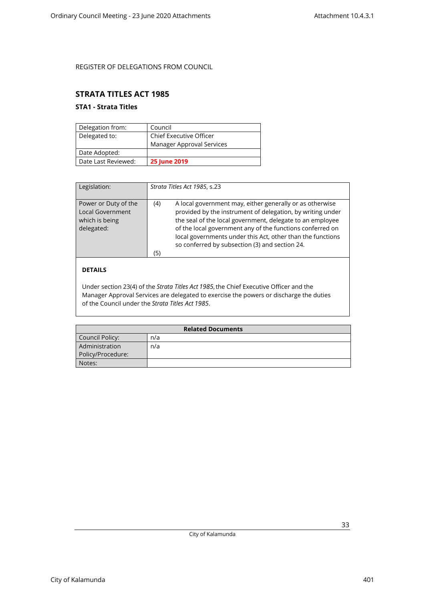### <span id="page-32-1"></span><span id="page-32-0"></span>**STRATA TITLES ACT 1985**

### **STA1 - Strata Titles**

| Delegation from:    | Council                   |
|---------------------|---------------------------|
| Delegated to:       | Chief Executive Officer   |
|                     | Manager Approval Services |
| Date Adopted:       |                           |
| Date Last Reviewed: | <b>25 June 2019</b>       |

| Legislation:                                                                    | Strata Titles Act 1985, s.23                                                                                                                                                                                                                                                                                                                                                   |
|---------------------------------------------------------------------------------|--------------------------------------------------------------------------------------------------------------------------------------------------------------------------------------------------------------------------------------------------------------------------------------------------------------------------------------------------------------------------------|
| Power or Duty of the<br><b>Local Government</b><br>which is being<br>delegated: | A local government may, either generally or as otherwise<br>(4)<br>provided by the instrument of delegation, by writing under<br>the seal of the local government, delegate to an employee<br>of the local government any of the functions conferred on<br>local governments under this Act, other than the functions<br>so conferred by subsection (3) and section 24.<br>(5) |

### **DETAILS**

Under section 23(4) of the *Strata Titles Act 1985*, the Chief Executive Officer and the Manager Approval Services are delegated to exercise the powers or discharge the duties of the Council under the *Strata Titles Act 1985*.

| <b>Related Documents</b> |     |  |
|--------------------------|-----|--|
| Council Policy:          | n/a |  |
| Administration           | n/a |  |
| Policy/Procedure:        |     |  |
| Notes:                   |     |  |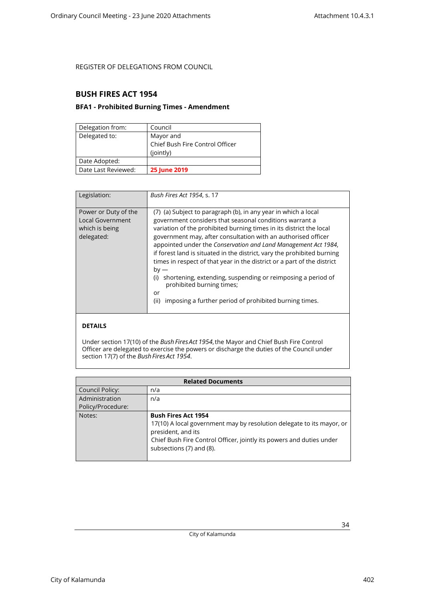### <span id="page-33-1"></span><span id="page-33-0"></span>**BUSH FIRES ACT 1954**

#### **BFA1 - Prohibited Burning Times - Amendment**

| Delegation from:    | Council                         |
|---------------------|---------------------------------|
| Delegated to:       | Mayor and                       |
|                     | Chief Bush Fire Control Officer |
|                     | (jointly)                       |
| Date Adopted:       |                                 |
| Date Last Reviewed: | <b>25 June 2019</b>             |

| Legislation:                                                                    | Bush Fires Act 1954, s. 17                                                                                                                                                                                                                                                                                                                                                                                                                                                                                                                                                                                                                                                     |
|---------------------------------------------------------------------------------|--------------------------------------------------------------------------------------------------------------------------------------------------------------------------------------------------------------------------------------------------------------------------------------------------------------------------------------------------------------------------------------------------------------------------------------------------------------------------------------------------------------------------------------------------------------------------------------------------------------------------------------------------------------------------------|
| Power or Duty of the<br><b>Local Government</b><br>which is being<br>delegated: | (7) (a) Subject to paragraph (b), in any year in which a local<br>government considers that seasonal conditions warrant a<br>variation of the prohibited burning times in its district the local<br>government may, after consultation with an authorised officer<br>appointed under the Conservation and Land Management Act 1984,<br>if forest land is situated in the district, vary the prohibited burning<br>times in respect of that year in the district or a part of the district<br>$by -$<br>shortening, extending, suspending or reimposing a period of<br>(i)<br>prohibited burning times;<br>or<br>imposing a further period of prohibited burning times.<br>(ii) |

### **DETAILS**

Under section 17(10) of the *Bush Fires Act 1954*, the Mayor and Chief Bush Fire Control Officer are delegated to exercise the powers or discharge the duties of the Council under section 17(7) of the *Bush Fires Act 1954*.

| <b>Related Documents</b> |                                                                       |  |
|--------------------------|-----------------------------------------------------------------------|--|
| <b>Council Policy:</b>   | n/a                                                                   |  |
| Administration           | n/a                                                                   |  |
| Policy/Procedure:        |                                                                       |  |
| Notes:                   | <b>Bush Fires Act 1954</b>                                            |  |
|                          | 17(10) A local government may by resolution delegate to its mayor, or |  |
|                          | president, and its                                                    |  |
|                          | Chief Bush Fire Control Officer, jointly its powers and duties under  |  |
|                          | subsections (7) and (8).                                              |  |
|                          |                                                                       |  |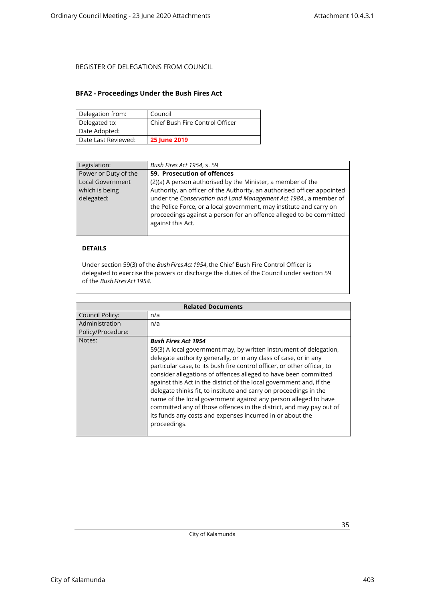#### <span id="page-34-0"></span>**BFA2 - Proceedings Under the Bush Fires Act**

| Delegation from:    | Council                         |
|---------------------|---------------------------------|
| Delegated to:       | Chief Bush Fire Control Officer |
| Date Adopted:       |                                 |
| Date Last Reviewed: | <b>25 June 2019</b>             |

| Legislation:         | Bush Fires Act 1954, s. 59                                              |
|----------------------|-------------------------------------------------------------------------|
| Power or Duty of the | 59. Prosecution of offences                                             |
| Local Government     | (2)(a) A person authorised by the Minister, a member of the             |
| which is being       | Authority, an officer of the Authority, an authorised officer appointed |
| delegated:           | under the Conservation and Land Management Act 1984,, a member of       |
|                      | the Police Force, or a local government, may institute and carry on     |
|                      | proceedings against a person for an offence alleged to be committed     |
|                      | against this Act.                                                       |
|                      |                                                                         |
|                      |                                                                         |
| <b>DETAILS</b>       |                                                                         |

Under section 59(3) of the *Bush Fires Act 1954*, the Chief Bush Fire Control Officer is delegated to exercise the powers or discharge the duties of the Council under section 59 of the *Bush Fires Act 1954.*

|                   | <b>Related Documents</b>                                                                                                                                                                                                                                                                                                                                                                                                                                                                                                                                                                                                                                                               |
|-------------------|----------------------------------------------------------------------------------------------------------------------------------------------------------------------------------------------------------------------------------------------------------------------------------------------------------------------------------------------------------------------------------------------------------------------------------------------------------------------------------------------------------------------------------------------------------------------------------------------------------------------------------------------------------------------------------------|
| Council Policy:   | n/a                                                                                                                                                                                                                                                                                                                                                                                                                                                                                                                                                                                                                                                                                    |
| Administration    | n/a                                                                                                                                                                                                                                                                                                                                                                                                                                                                                                                                                                                                                                                                                    |
| Policy/Procedure: |                                                                                                                                                                                                                                                                                                                                                                                                                                                                                                                                                                                                                                                                                        |
| Notes:            | <b>Bush Fires Act 1954</b><br>59(3) A local government may, by written instrument of delegation,<br>delegate authority generally, or in any class of case, or in any<br>particular case, to its bush fire control officer, or other officer, to<br>consider allegations of offences alleged to have been committed<br>against this Act in the district of the local government and, if the<br>delegate thinks fit, to institute and carry on proceedings in the<br>name of the local government against any person alleged to have<br>committed any of those offences in the district, and may pay out of<br>its funds any costs and expenses incurred in or about the<br>proceedings. |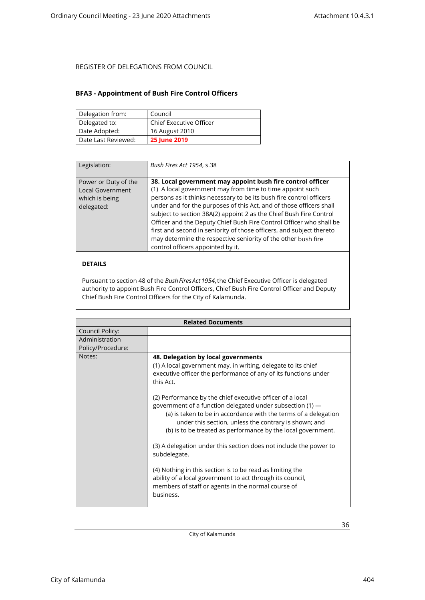#### <span id="page-35-0"></span>**BFA3 - Appointment of Bush Fire Control Officers**

| Delegation from:    | Council                        |
|---------------------|--------------------------------|
| Delegated to:       | <b>Chief Executive Officer</b> |
| Date Adopted:       | 16 August 2010                 |
| Date Last Reviewed: | <b>25 June 2019</b>            |

| Legislation:                                                                    | Bush Fires Act 1954, s.38                                                                                                                                                                                                                                                                                                                                                                                                                                                                                                                                                                        |
|---------------------------------------------------------------------------------|--------------------------------------------------------------------------------------------------------------------------------------------------------------------------------------------------------------------------------------------------------------------------------------------------------------------------------------------------------------------------------------------------------------------------------------------------------------------------------------------------------------------------------------------------------------------------------------------------|
| Power or Duty of the<br><b>Local Government</b><br>which is being<br>delegated: | 38. Local government may appoint bush fire control officer<br>(1) A local government may from time to time appoint such<br>persons as it thinks necessary to be its bush fire control officers<br>under and for the purposes of this Act, and of those officers shall<br>subject to section 38A(2) appoint 2 as the Chief Bush Fire Control<br>Officer and the Deputy Chief Bush Fire Control Officer who shall be<br>first and second in seniority of those officers, and subject thereto<br>may determine the respective seniority of the other bush fire<br>control officers appointed by it. |

#### **DETAILS**

Pursuant to section 48 of the *Bush Fires Act 1954*, the Chief Executive Officer is delegated authority to appoint Bush Fire Control Officers, Chief Bush Fire Control Officer and Deputy Chief Bush Fire Control Officers for the City of Kalamunda.

|                                     | <b>Related Documents</b>                                                                                                                                                                                                                                                                                                                                                                                                                                                                                                                                                                                                                                                                                                                                                                       |
|-------------------------------------|------------------------------------------------------------------------------------------------------------------------------------------------------------------------------------------------------------------------------------------------------------------------------------------------------------------------------------------------------------------------------------------------------------------------------------------------------------------------------------------------------------------------------------------------------------------------------------------------------------------------------------------------------------------------------------------------------------------------------------------------------------------------------------------------|
| Council Policy:                     |                                                                                                                                                                                                                                                                                                                                                                                                                                                                                                                                                                                                                                                                                                                                                                                                |
| Administration<br>Policy/Procedure: |                                                                                                                                                                                                                                                                                                                                                                                                                                                                                                                                                                                                                                                                                                                                                                                                |
| Notes:                              | 48. Delegation by local governments<br>(1) A local government may, in writing, delegate to its chief<br>executive officer the performance of any of its functions under<br>this Act.<br>(2) Performance by the chief executive officer of a local<br>government of a function delegated under subsection $(1)$ —<br>(a) is taken to be in accordance with the terms of a delegation<br>under this section, unless the contrary is shown; and<br>(b) is to be treated as performance by the local government.<br>(3) A delegation under this section does not include the power to<br>subdelegate.<br>(4) Nothing in this section is to be read as limiting the<br>ability of a local government to act through its council,<br>members of staff or agents in the normal course of<br>business. |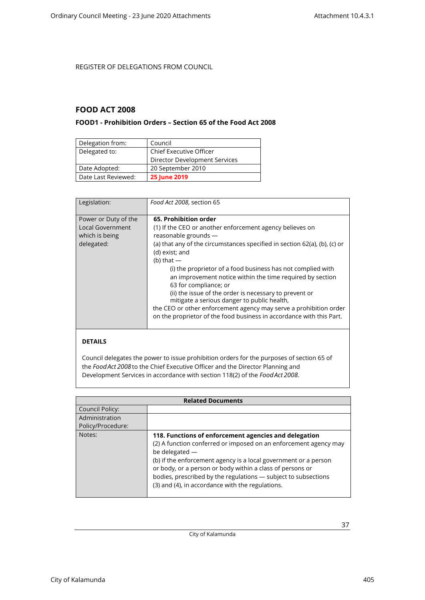### <span id="page-36-1"></span><span id="page-36-0"></span>**FOOD ACT 2008**

### **FOOD1 - Prohibition Orders – Section 65 of the Food Act 2008**

| Delegation from:    | Council                        |
|---------------------|--------------------------------|
| Delegated to:       | <b>Chief Executive Officer</b> |
|                     | Director Development Services  |
| Date Adopted:       | 20 September 2010              |
| Date Last Reviewed: | <b>25 June 2019</b>            |

| Legislation:                                                                    | Food Act 2008, section 65                                                                                                                                                                                                                                                                                                                                                                                                                                                                                                                                                                                                           |
|---------------------------------------------------------------------------------|-------------------------------------------------------------------------------------------------------------------------------------------------------------------------------------------------------------------------------------------------------------------------------------------------------------------------------------------------------------------------------------------------------------------------------------------------------------------------------------------------------------------------------------------------------------------------------------------------------------------------------------|
| Power or Duty of the<br><b>Local Government</b><br>which is being<br>delegated: | 65. Prohibition order<br>(1) If the CEO or another enforcement agency believes on<br>reasonable grounds -<br>(a) that any of the circumstances specified in section 62(a), (b), (c) or<br>(d) exist; and<br>(b) that $-$<br>(i) the proprietor of a food business has not complied with<br>an improvement notice within the time required by section<br>63 for compliance; or<br>(ii) the issue of the order is necessary to prevent or<br>mitigate a serious danger to public health,<br>the CEO or other enforcement agency may serve a prohibition order<br>on the proprietor of the food business in accordance with this Part. |

#### **DETAILS**

Council delegates the power to issue prohibition orders for the purposes of section 65 of the *Food Act 2008*to the Chief Executive Officer and the Director Planning and Development Services in accordance with section 118(2) of the *Food Act 2008*.

| <b>Related Documents</b> |                                                                                                                                                                                                                                                                                                                                                                                                   |
|--------------------------|---------------------------------------------------------------------------------------------------------------------------------------------------------------------------------------------------------------------------------------------------------------------------------------------------------------------------------------------------------------------------------------------------|
| Council Policy:          |                                                                                                                                                                                                                                                                                                                                                                                                   |
| Administration           |                                                                                                                                                                                                                                                                                                                                                                                                   |
| Policy/Procedure:        |                                                                                                                                                                                                                                                                                                                                                                                                   |
| Notes:                   | 118. Functions of enforcement agencies and delegation<br>(2) A function conferred or imposed on an enforcement agency may<br>be delegated -<br>(b) if the enforcement agency is a local government or a person<br>or body, or a person or body within a class of persons or<br>bodies, prescribed by the regulations - subject to subsections<br>(3) and (4), in accordance with the regulations. |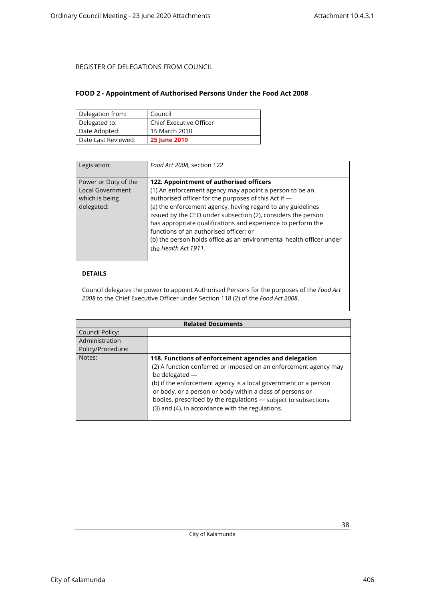#### <span id="page-37-0"></span>**FOOD 2 - Appointment of Authorised Persons Under the Food Act 2008**

| Delegation from:    | Council                        |
|---------------------|--------------------------------|
| Delegated to:       | <b>Chief Executive Officer</b> |
| Date Adopted:       | 15 March 2010                  |
| Date Last Reviewed: | <b>25 June 2019</b>            |

| Legislation:                                                                    | Food Act 2008, section 122                                                                                                                                                                                                                                                                                                                                                                                                                                                                          |
|---------------------------------------------------------------------------------|-----------------------------------------------------------------------------------------------------------------------------------------------------------------------------------------------------------------------------------------------------------------------------------------------------------------------------------------------------------------------------------------------------------------------------------------------------------------------------------------------------|
| Power or Duty of the<br><b>Local Government</b><br>which is being<br>delegated: | 122. Appointment of authorised officers<br>(1) An enforcement agency may appoint a person to be an<br>authorised officer for the purposes of this Act if -<br>(a) the enforcement agency, having regard to any guidelines<br>issued by the CEO under subsection (2), considers the person<br>has appropriate qualifications and experience to perform the<br>functions of an authorised officer; or<br>(b) the person holds office as an environmental health officer under<br>the Health Act 1911. |

### **DETAILS**

Council delegates the power to appoint Authorised Persons for the purposes of the *Food Act 2008* to the Chief Executive Officer under Section 118 (2) of the *Food Act 2008*.

| <b>Related Documents</b> |                                                                                                                                                                                                                                                                                                                                                                                                   |
|--------------------------|---------------------------------------------------------------------------------------------------------------------------------------------------------------------------------------------------------------------------------------------------------------------------------------------------------------------------------------------------------------------------------------------------|
| Council Policy:          |                                                                                                                                                                                                                                                                                                                                                                                                   |
| Administration           |                                                                                                                                                                                                                                                                                                                                                                                                   |
| Policy/Procedure:        |                                                                                                                                                                                                                                                                                                                                                                                                   |
| Notes:                   | 118. Functions of enforcement agencies and delegation<br>(2) A function conferred or imposed on an enforcement agency may<br>be delegated -<br>(b) if the enforcement agency is a local government or a person<br>or body, or a person or body within a class of persons or<br>bodies, prescribed by the regulations - subject to subsections<br>(3) and (4), in accordance with the regulations. |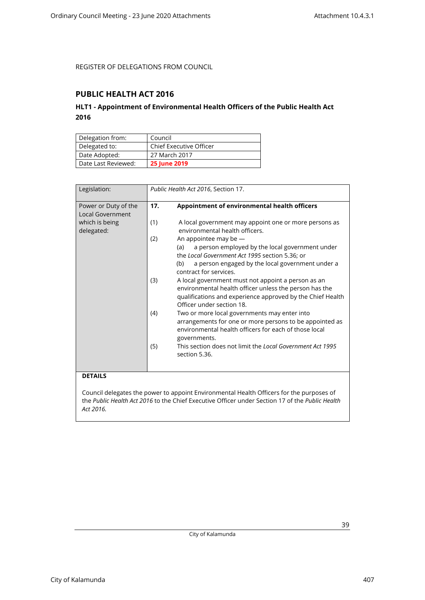### <span id="page-38-1"></span><span id="page-38-0"></span>**PUBLIC HEALTH ACT 2016**

### **HLT1 - Appointment of Environmental Health Officers of the Public Health Act 2016**

| Delegation from:    | Council                        |
|---------------------|--------------------------------|
| Delegated to:       | <b>Chief Executive Officer</b> |
| Date Adopted:       | 27 March 2017                  |
| Date Last Reviewed: | <b>25 June 2019</b>            |

| Legislation:                                                             |                                 | Public Health Act 2016, Section 17.                                                                                                                                                                                                                                                                                                                                                                                                                                                                                                                                                                                                                                                                                                                                |
|--------------------------------------------------------------------------|---------------------------------|--------------------------------------------------------------------------------------------------------------------------------------------------------------------------------------------------------------------------------------------------------------------------------------------------------------------------------------------------------------------------------------------------------------------------------------------------------------------------------------------------------------------------------------------------------------------------------------------------------------------------------------------------------------------------------------------------------------------------------------------------------------------|
| Power or Duty of the<br>Local Government<br>which is being<br>delegated: | 17.<br>(1)<br>(2)<br>(3)<br>(4) | Appointment of environmental health officers<br>A local government may appoint one or more persons as<br>environmental health officers.<br>An appointee may be $-$<br>a person employed by the local government under<br>(a)<br>the Local Government Act 1995 section 5.36; or<br>a person engaged by the local government under a<br>(b)<br>contract for services.<br>A local government must not appoint a person as an<br>environmental health officer unless the person has the<br>qualifications and experience approved by the Chief Health<br>Officer under section 18.<br>Two or more local governments may enter into<br>arrangements for one or more persons to be appointed as<br>environmental health officers for each of those local<br>governments. |
|                                                                          | (5)                             | This section does not limit the Local Government Act 1995<br>section 5.36.                                                                                                                                                                                                                                                                                                                                                                                                                                                                                                                                                                                                                                                                                         |

### **DETAILS**

Council delegates the power to appoint Environmental Health Officers for the purposes of the *Public Health Act 2016* to the Chief Executive Officer under Section 17 of the *Public Health Act 2016.*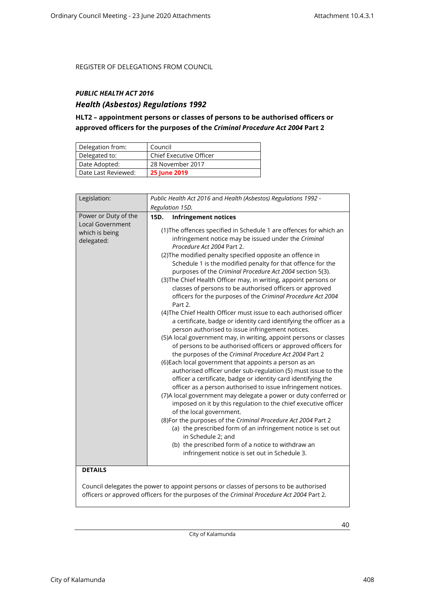### <span id="page-39-0"></span>*PUBLIC HEALTH ACT 2016*

### *Health (Asbestos) Regulations 1992*

### **HLT2 – appointment persons or classes of persons to be authorised officers or approved officers for the purposes of the** *Criminal Procedure Act 2004* **Part 2**

| Delegation from:    | Council                        |
|---------------------|--------------------------------|
| Delegated to:       | <b>Chief Executive Officer</b> |
| Date Adopted:       | 28 November 2017               |
| Date Last Reviewed: | <b>25 June 2019</b>            |

| Legislation:                                                             | Public Health Act 2016 and Health (Asbestos) Regulations 1992 -                                                                                                                                                                                                                                                                                                                                                                                                                                                                                                                                                                                                                                                                                                                                                                                                                                                                                                                                                                                                                                                                                                                                                                                                                                                                                                                                                                                                                                                                                                                                                                                                                                    |
|--------------------------------------------------------------------------|----------------------------------------------------------------------------------------------------------------------------------------------------------------------------------------------------------------------------------------------------------------------------------------------------------------------------------------------------------------------------------------------------------------------------------------------------------------------------------------------------------------------------------------------------------------------------------------------------------------------------------------------------------------------------------------------------------------------------------------------------------------------------------------------------------------------------------------------------------------------------------------------------------------------------------------------------------------------------------------------------------------------------------------------------------------------------------------------------------------------------------------------------------------------------------------------------------------------------------------------------------------------------------------------------------------------------------------------------------------------------------------------------------------------------------------------------------------------------------------------------------------------------------------------------------------------------------------------------------------------------------------------------------------------------------------------------|
|                                                                          | Regulation 15D.                                                                                                                                                                                                                                                                                                                                                                                                                                                                                                                                                                                                                                                                                                                                                                                                                                                                                                                                                                                                                                                                                                                                                                                                                                                                                                                                                                                                                                                                                                                                                                                                                                                                                    |
| Power or Duty of the<br>Local Government<br>which is being<br>delegated: | 15D.<br><b>Infringement notices</b><br>(1) The offences specified in Schedule 1 are offences for which an<br>infringement notice may be issued under the Criminal<br>Procedure Act 2004 Part 2.<br>(2) The modified penalty specified opposite an offence in<br>Schedule 1 is the modified penalty for that offence for the<br>purposes of the Criminal Procedure Act 2004 section 5(3).<br>(3) The Chief Health Officer may, in writing, appoint persons or<br>classes of persons to be authorised officers or approved<br>officers for the purposes of the Criminal Procedure Act 2004<br>Part 2.<br>(4) The Chief Health Officer must issue to each authorised officer<br>a certificate, badge or identity card identifying the officer as a<br>person authorised to issue infringement notices.<br>(5)A local government may, in writing, appoint persons or classes<br>of persons to be authorised officers or approved officers for<br>the purposes of the Criminal Procedure Act 2004 Part 2<br>(6) Each local government that appoints a person as an<br>authorised officer under sub-regulation (5) must issue to the<br>officer a certificate, badge or identity card identifying the<br>officer as a person authorised to issue infringement notices.<br>(7) A local government may delegate a power or duty conferred or<br>imposed on it by this regulation to the chief executive officer<br>of the local government.<br>(8) For the purposes of the Criminal Procedure Act 2004 Part 2<br>(a) the prescribed form of an infringement notice is set out<br>in Schedule 2; and<br>(b) the prescribed form of a notice to withdraw an<br>infringement notice is set out in Schedule 3. |
| <b>DETAILS</b>                                                           |                                                                                                                                                                                                                                                                                                                                                                                                                                                                                                                                                                                                                                                                                                                                                                                                                                                                                                                                                                                                                                                                                                                                                                                                                                                                                                                                                                                                                                                                                                                                                                                                                                                                                                    |

Council delegates the power to appoint persons or classes of persons to be authorised officers or approved officers for the purposes of the *Criminal Procedure Act 2004* Part 2.

City of Kalamunda

City of Kalamunda 408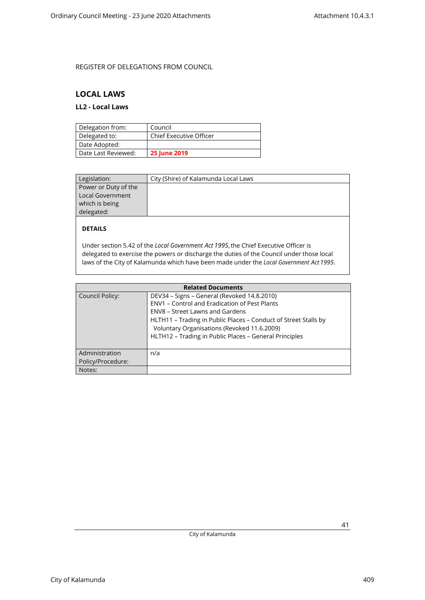### <span id="page-40-1"></span><span id="page-40-0"></span>**LOCAL LAWS**

### **LL2 - Local Laws**

| Delegation from:    | Council                        |
|---------------------|--------------------------------|
| Delegated to:       | <b>Chief Executive Officer</b> |
| Date Adopted:       |                                |
| Date Last Reviewed: | <b>25 June 2019</b>            |

| Legislation:            | City (Shire) of Kalamunda Local Laws |
|-------------------------|--------------------------------------|
| Power or Duty of the    |                                      |
| <b>Local Government</b> |                                      |
| which is being          |                                      |
| delegated:              |                                      |

### **DETAILS**

Under section 5.42 of the *Local Government Act 1995*, the Chief Executive Officer is delegated to exercise the powers or discharge the duties of the Council under those local laws of the City of Kalamunda which have been made under the *Local Government Act 1995*.

| <b>Related Documents</b>            |                                                                                                                                                                                                                                                                                                             |  |
|-------------------------------------|-------------------------------------------------------------------------------------------------------------------------------------------------------------------------------------------------------------------------------------------------------------------------------------------------------------|--|
| Council Policy:                     | DEV34 - Signs - General (Revoked 14.8.2010)<br>ENV1 - Control and Eradication of Pest Plants<br>ENV8 – Street Lawns and Gardens<br>HLTH11 - Trading in Public Places - Conduct of Street Stalls by<br>Voluntary Organisations (Revoked 11.6.2009)<br>HLTH12 - Trading in Public Places - General Principles |  |
| Administration<br>Policy/Procedure: | n/a                                                                                                                                                                                                                                                                                                         |  |
| Notes:                              |                                                                                                                                                                                                                                                                                                             |  |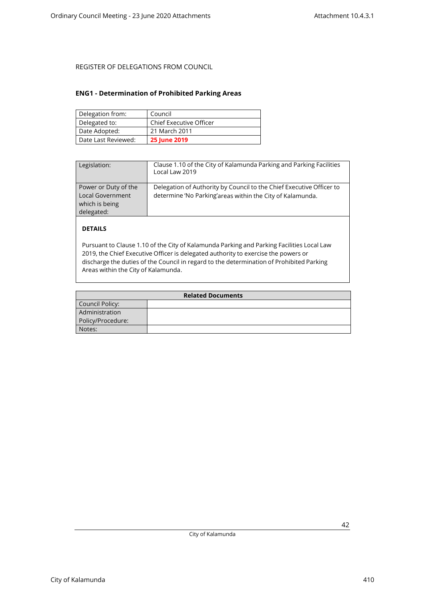#### <span id="page-41-0"></span>**ENG1 - Determination of Prohibited Parking Areas**

| Delegation from:    | Council                        |
|---------------------|--------------------------------|
| Delegated to:       | <b>Chief Executive Officer</b> |
| Date Adopted:       | 21 March 2011                  |
| Date Last Reviewed: | <b>25 June 2019</b>            |

| Legislation:                                                                    | Clause 1.10 of the City of Kalamunda Parking and Parking Facilities<br>Local Law 2019                                             |
|---------------------------------------------------------------------------------|-----------------------------------------------------------------------------------------------------------------------------------|
| Power or Duty of the<br><b>Local Government</b><br>which is being<br>delegated: | Delegation of Authority by Council to the Chief Executive Officer to<br>determine 'No Parking'areas within the City of Kalamunda. |

### **DETAILS**

Pursuant to Clause 1.10 of the City of Kalamunda Parking and Parking Facilities Local Law 2019, the Chief Executive Officer is delegated authority to exercise the powers or discharge the duties of the Council in regard to the determination of Prohibited Parking Areas within the City of Kalamunda.

| <b>Related Documents</b> |  |
|--------------------------|--|
| Council Policy:          |  |
| Administration           |  |
| Policy/Procedure:        |  |
| Notes:                   |  |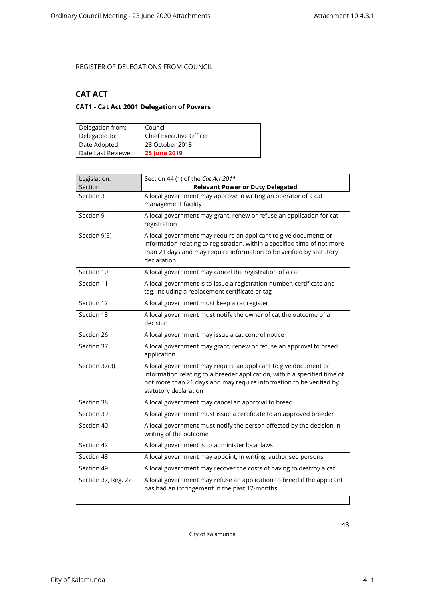### <span id="page-42-1"></span><span id="page-42-0"></span>**CAT ACT**

### **CAT1 - Cat Act 2001 Delegation of Powers**

| Delegation from:    | Council                        |
|---------------------|--------------------------------|
| Delegated to:       | <b>Chief Executive Officer</b> |
| Date Adopted:       | 28 October 2013                |
| Date Last Reviewed: | <b>25 June 2019</b>            |

| Legislation:        | Section 44 (1) of the Cat Act 2011                                                                                                                                                                                                           |
|---------------------|----------------------------------------------------------------------------------------------------------------------------------------------------------------------------------------------------------------------------------------------|
| Section             | <b>Relevant Power or Duty Delegated</b>                                                                                                                                                                                                      |
| Section 3           | A local government may approve in writing an operator of a cat<br>management facility                                                                                                                                                        |
| Section 9           | A local government may grant, renew or refuse an application for cat<br>registration                                                                                                                                                         |
| Section 9(5)        | A local government may require an applicant to give documents or<br>information relating to registration, within a specified time of not more<br>than 21 days and may require information to be verified by statutory<br>declaration         |
| Section 10          | A local government may cancel the registration of a cat                                                                                                                                                                                      |
| Section 11          | A local government is to issue a registration number, certificate and<br>tag, including a replacement certificate or tag                                                                                                                     |
| Section 12          | A local government must keep a cat register                                                                                                                                                                                                  |
| Section 13          | A local government must notify the owner of cat the outcome of a<br>decision                                                                                                                                                                 |
| Section 26          | A local government may issue a cat control notice                                                                                                                                                                                            |
| Section 37          | A local government may grant, renew or refuse an approval to breed<br>application                                                                                                                                                            |
| Section 37(3)       | A local government may require an applicant to give document or<br>information relating to a breeder application, within a specified time of<br>not more than 21 days and may require information to be verified by<br>statutory declaration |
| Section 38          | A local government may cancel an approval to breed                                                                                                                                                                                           |
| Section 39          | A local government must issue a certificate to an approved breeder                                                                                                                                                                           |
| Section 40          | A local government must notify the person affected by the decision in<br>writing of the outcome                                                                                                                                              |
| Section 42          | A local government is to administer local laws                                                                                                                                                                                               |
| Section 48          | A local government may appoint, in writing, authorised persons                                                                                                                                                                               |
| Section 49          | A local government may recover the costs of having to destroy a cat                                                                                                                                                                          |
| Section 37, Reg. 22 | A local government may refuse an application to breed if the applicant<br>has had an infringement in the past 12-months.                                                                                                                     |
|                     |                                                                                                                                                                                                                                              |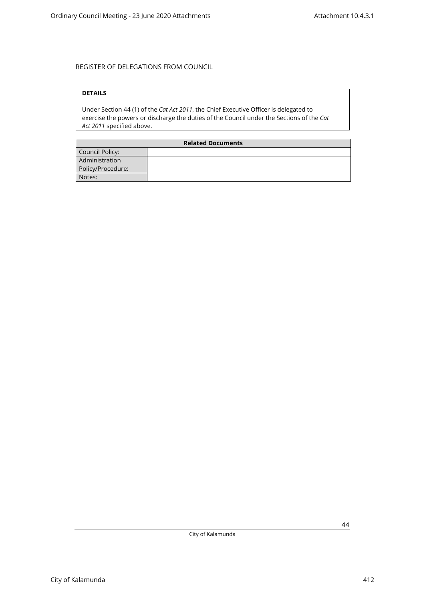### **DETAILS**

Under Section 44 (1) of the *Cat Act 2011*, the Chief Executive Officer is delegated to exercise the powers or discharge the duties of the Council under the Sections of the *Cat Act 2011* specified above.

| <b>Related Documents</b> |  |
|--------------------------|--|
| Council Policy:          |  |
| Administration           |  |
| Policy/Procedure:        |  |
| Notes:                   |  |

City of Kalamunda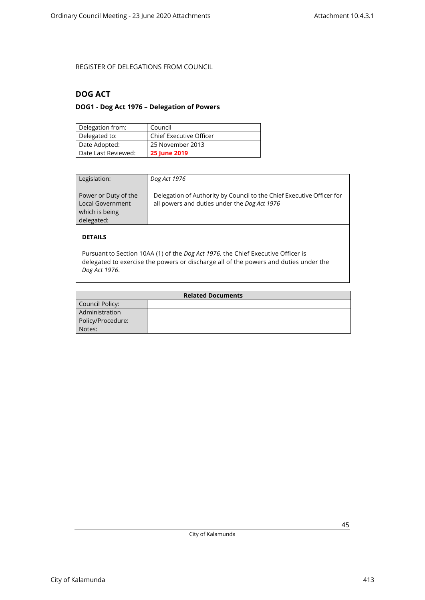### <span id="page-44-1"></span><span id="page-44-0"></span>**DOG ACT**

### **DOG1 - Dog Act 1976 – Delegation of Powers**

| Delegation from:    | Council                 |
|---------------------|-------------------------|
| Delegated to:       | Chief Executive Officer |
| Date Adopted:       | 25 November 2013        |
| Date Last Reviewed: | <b>25 June 2019</b>     |

| Legislation:                                                             | Dog Act 1976                                                                                                          |
|--------------------------------------------------------------------------|-----------------------------------------------------------------------------------------------------------------------|
| Power or Duty of the<br>Local Government<br>which is being<br>delegated: | Delegation of Authority by Council to the Chief Executive Officer for<br>all powers and duties under the Dog Act 1976 |
| <b>DETAILS</b>                                                           |                                                                                                                       |

Pursuant to Section 10AA (1) of the *Dog Act 1976,* the Chief Executive Officer is delegated to exercise the powers or discharge all of the powers and duties under the *Dog Act 1976*.

| <b>Related Documents</b> |  |
|--------------------------|--|
| Council Policy:          |  |
| Administration           |  |
| Policy/Procedure:        |  |
| Notes:                   |  |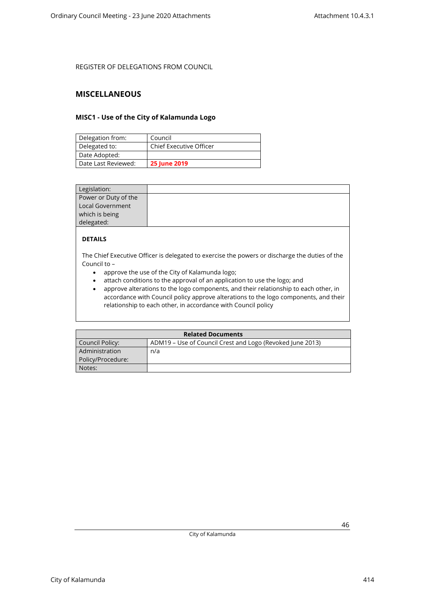### <span id="page-45-1"></span><span id="page-45-0"></span>**MISCELLANEOUS**

#### **MISC1 - Use of the City of Kalamunda Logo**

| Delegation from:    | Council                 |
|---------------------|-------------------------|
| Delegated to:       | Chief Executive Officer |
| Date Adopted:       |                         |
| Date Last Reviewed: | <b>25 June 2019</b>     |

| Legislation:         |  |
|----------------------|--|
| Power or Duty of the |  |
| Local Government     |  |
| which is being       |  |
| delegated:           |  |

### **DETAILS**

The Chief Executive Officer is delegated to exercise the powers or discharge the duties of the Council to –

- approve the use of the City of Kalamunda logo;
- attach conditions to the approval of an application to use the logo; and
- approve alterations to the logo components, and their relationship to each other, in accordance with Council policy approve alterations to the logo components, and their relationship to each other, in accordance with Council policy

| <b>Related Documents</b> |                                                           |
|--------------------------|-----------------------------------------------------------|
| Council Policy:          | ADM19 – Use of Council Crest and Logo (Revoked June 2013) |
| Administration           | n/a                                                       |
| Policy/Procedure:        |                                                           |
| Notes:                   |                                                           |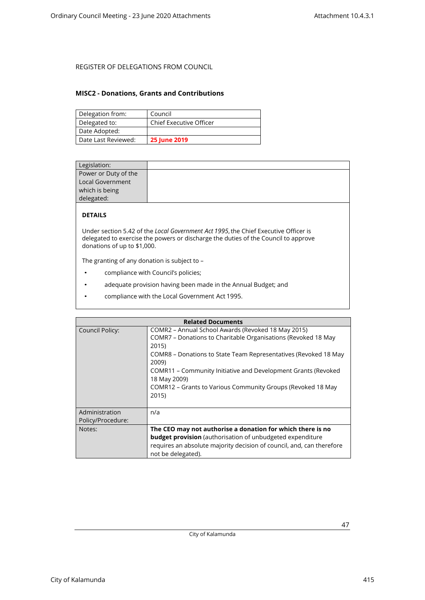#### <span id="page-46-0"></span>**MISC2 - Donations, Grants and Contributions**

| Delegation from:    | Council                        |
|---------------------|--------------------------------|
| Delegated to:       | <b>Chief Executive Officer</b> |
| Date Adopted:       |                                |
| Date Last Reviewed: | <b>25 June 2019</b>            |

| Legislation:         |  |
|----------------------|--|
| Power or Duty of the |  |
| Local Government     |  |
| which is being       |  |
| delegated:           |  |
|                      |  |

### **DETAILS**

Under section 5.42 of the *Local Government Act 1995*, the Chief Executive Officer is delegated to exercise the powers or discharge the duties of the Council to approve donations of up to \$1,000.

The granting of any donation is subject to –

- compliance with Council's policies;
- adequate provision having been made in the Annual Budget; and
- compliance with the Local Government Act 1995.

| <b>Related Documents</b>            |                                                                                                                                                                                                                                                                                                                                                                   |  |
|-------------------------------------|-------------------------------------------------------------------------------------------------------------------------------------------------------------------------------------------------------------------------------------------------------------------------------------------------------------------------------------------------------------------|--|
| <b>Council Policy:</b>              | COMR2 – Annual School Awards (Revoked 18 May 2015)<br>COMR7 - Donations to Charitable Organisations (Revoked 18 May<br>2015)<br>COMR8 – Donations to State Team Representatives (Revoked 18 May<br>2009)<br>COMR11 – Community Initiative and Development Grants (Revoked<br>18 May 2009)<br>COMR12 – Grants to Various Community Groups (Revoked 18 May<br>2015) |  |
| Administration<br>Policy/Procedure: | n/a                                                                                                                                                                                                                                                                                                                                                               |  |
| Notes:                              | The CEO may not authorise a donation for which there is no<br><b>budget provision</b> (authorisation of unbudgeted expenditure<br>requires an absolute majority decision of council, and, can therefore<br>not be delegated).                                                                                                                                     |  |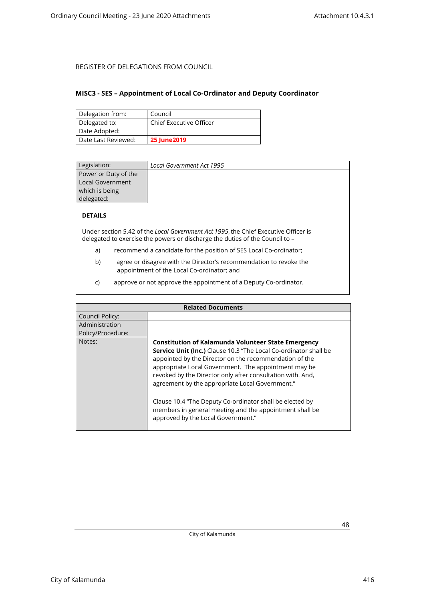#### <span id="page-47-0"></span>**MISC3 - SES – Appointment of Local Co-Ordinator and Deputy Coordinator**

| Delegation from:    | Council                        |
|---------------------|--------------------------------|
| Delegated to:       | <b>Chief Executive Officer</b> |
| Date Adopted:       |                                |
| Date Last Reviewed: | <b>25 June 2019</b>            |

| Legislation:         | Local Government Act 1995 |
|----------------------|---------------------------|
| Power or Duty of the |                           |
| Local Government     |                           |
| which is being       |                           |
| delegated:           |                           |

### **DETAILS**

Under section 5.42 of the *Local Government Act 1995*, the Chief Executive Officer is delegated to exercise the powers or discharge the duties of the Council to –

- a) recommend a candidate for the position of SES Local Co-ordinator;
- b) agree or disagree with the Director's recommendation to revoke the appointment of the Local Co-ordinator; and
- c) approve or not approve the appointment of a Deputy Co-ordinator.

| <b>Related Documents</b> |                                                                                                                                                                                                                                                                                                                                                                                                                                                                                                                                |
|--------------------------|--------------------------------------------------------------------------------------------------------------------------------------------------------------------------------------------------------------------------------------------------------------------------------------------------------------------------------------------------------------------------------------------------------------------------------------------------------------------------------------------------------------------------------|
| Council Policy:          |                                                                                                                                                                                                                                                                                                                                                                                                                                                                                                                                |
| Administration           |                                                                                                                                                                                                                                                                                                                                                                                                                                                                                                                                |
| Policy/Procedure:        |                                                                                                                                                                                                                                                                                                                                                                                                                                                                                                                                |
| Notes:                   | <b>Constitution of Kalamunda Volunteer State Emergency</b><br>Service Unit (Inc.) Clause 10.3 "The Local Co-ordinator shall be<br>appointed by the Director on the recommendation of the<br>appropriate Local Government. The appointment may be<br>revoked by the Director only after consultation with. And,<br>agreement by the appropriate Local Government."<br>Clause 10.4 "The Deputy Co-ordinator shall be elected by<br>members in general meeting and the appointment shall be<br>approved by the Local Government." |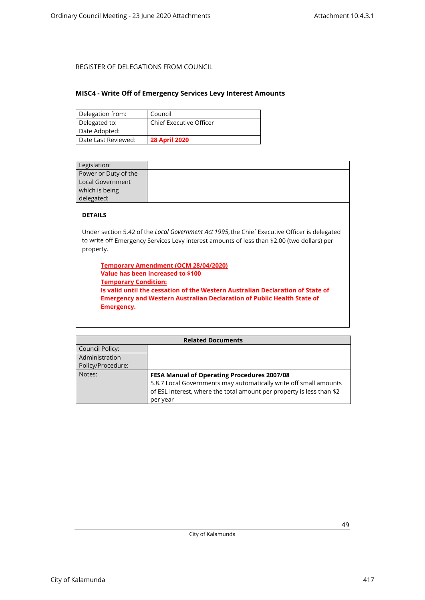#### <span id="page-48-0"></span>**MISC4 - Write Off of Emergency Services Levy Interest Amounts**

| Delegation from:    | Council                        |
|---------------------|--------------------------------|
| Delegated to:       | <b>Chief Executive Officer</b> |
| Date Adopted:       |                                |
| Date Last Reviewed: | <b>28 April 2020</b>           |

| Legislation:                                                                                  |  |
|-----------------------------------------------------------------------------------------------|--|
| Power or Duty of the                                                                          |  |
| <b>Local Government</b>                                                                       |  |
| which is being                                                                                |  |
| delegated:                                                                                    |  |
| <b>DETAILS</b>                                                                                |  |
| Under section 5.42 of the Local Government Act 1995, the Chief Executive Officer is delegated |  |

to write off Emergency Services Levy interest amounts of less than \$2.00 (two dollars) per property.

**Temporary Amendment (OCM 28/04/2020) Value has been increased to \$100 Temporary Condition: Is valid until the cessation of the Western Australian Declaration of State of Emergency and Western Australian Declaration of Public Health State of Emergency.**

| <b>Related Documents</b> |                                                                       |
|--------------------------|-----------------------------------------------------------------------|
| Council Policy:          |                                                                       |
| Administration           |                                                                       |
| Policy/Procedure:        |                                                                       |
| Notes:                   | <b>FESA Manual of Operating Procedures 2007/08</b>                    |
|                          | 5.8.7 Local Governments may automatically write off small amounts     |
|                          | of ESL Interest, where the total amount per property is less than \$2 |
|                          | per year                                                              |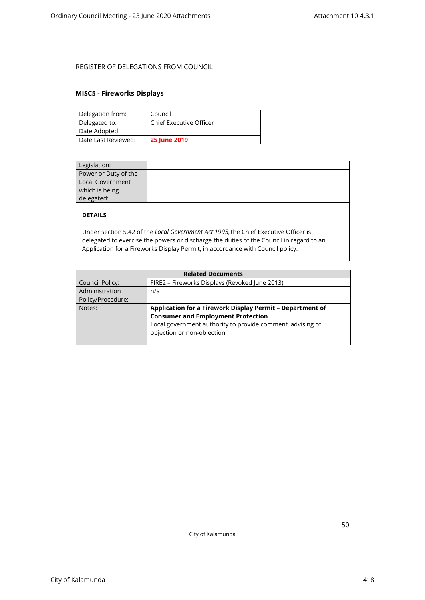### <span id="page-49-0"></span>**MISC5 - Fireworks Displays**

| Delegation from:    | Council                        |
|---------------------|--------------------------------|
| Delegated to:       | <b>Chief Executive Officer</b> |
| Date Adopted:       |                                |
| Date Last Reviewed: | <b>25 June 2019</b>            |

| Legislation:         |  |
|----------------------|--|
| Power or Duty of the |  |
| Local Government     |  |
| which is being       |  |
| delegated:           |  |
|                      |  |

### **DETAILS**

Under section 5.42 of the *Local Government Act 1995,* the Chief Executive Officer is delegated to exercise the powers or discharge the duties of the Council in regard to an Application for a Fireworks Display Permit, in accordance with Council policy.

| <b>Related Documents</b> |                                                            |
|--------------------------|------------------------------------------------------------|
| <b>Council Policy:</b>   | FIRE2 - Fireworks Displays (Revoked June 2013)             |
| Administration           | n/a                                                        |
| Policy/Procedure:        |                                                            |
| Notes:                   | Application for a Firework Display Permit - Department of  |
|                          | <b>Consumer and Employment Protection</b>                  |
|                          | Local government authority to provide comment, advising of |
|                          | objection or non-objection                                 |
|                          |                                                            |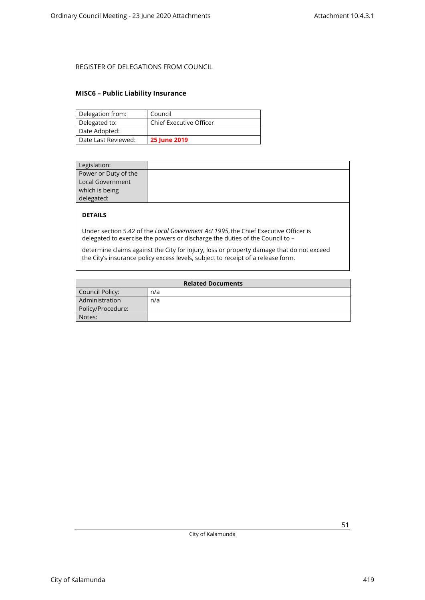#### <span id="page-50-0"></span>**MISC6 – Public Liability Insurance**

| Delegation from:    | Council                        |
|---------------------|--------------------------------|
| Delegated to:       | <b>Chief Executive Officer</b> |
| Date Adopted:       |                                |
| Date Last Reviewed: | <b>25 June 2019</b>            |

| Legislation:         |  |
|----------------------|--|
| Power or Duty of the |  |
| Local Government     |  |
|                      |  |
| which is being       |  |
| delegated:           |  |
|                      |  |

### **DETAILS**

Under section 5.42 of the *Local Government Act 1995*, the Chief Executive Officer is delegated to exercise the powers or discharge the duties of the Council to –

determine claims against the City for injury, loss or property damage that do not exceed the City's insurance policy excess levels, subject to receipt of a release form.

| <b>Related Documents</b> |     |
|--------------------------|-----|
| Council Policy:          | n/a |
| Administration           | n/a |
| Policy/Procedure:        |     |
| Notes:                   |     |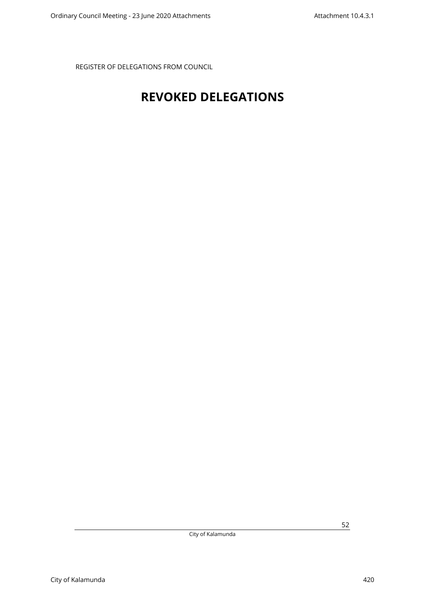## <span id="page-51-0"></span>**REVOKED DELEGATIONS**

City of Kalamunda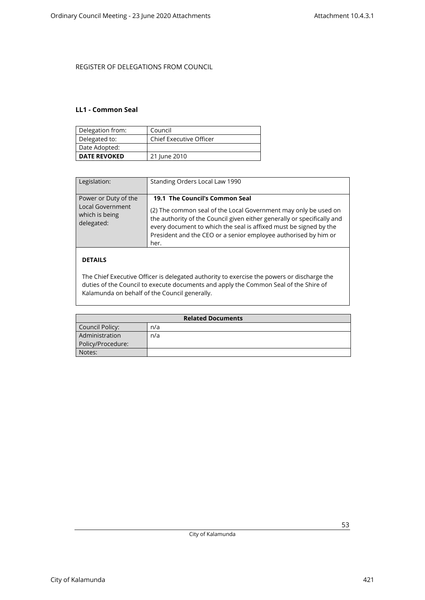#### <span id="page-52-0"></span>**LL1 - Common Seal**

| Delegation from:    | Council                        |
|---------------------|--------------------------------|
| Delegated to:       | <b>Chief Executive Officer</b> |
| Date Adopted:       |                                |
| <b>DATE REVOKED</b> | 21 June 2010                   |

| Legislation:                                                                    | Standing Orders Local Law 1990                                                                                                                                                                                                                                                                                               |
|---------------------------------------------------------------------------------|------------------------------------------------------------------------------------------------------------------------------------------------------------------------------------------------------------------------------------------------------------------------------------------------------------------------------|
| Power or Duty of the<br><b>Local Government</b><br>which is being<br>delegated: | 19.1 The Council's Common Seal<br>(2) The common seal of the Local Government may only be used on<br>the authority of the Council given either generally or specifically and<br>every document to which the seal is affixed must be signed by the<br>President and the CEO or a senior employee authorised by him or<br>her. |
| DETAILS                                                                         |                                                                                                                                                                                                                                                                                                                              |

#### The Chief Executive Officer is delegated authority to exercise the powers or discharge the duties of the Council to execute documents and apply the Common Seal of the Shire of Kalamunda on behalf of the Council generally.

| <b>Related Documents</b> |     |
|--------------------------|-----|
| Council Policy:          | n/a |
| Administration           | n/a |
| Policy/Procedure:        |     |
| Notes:                   |     |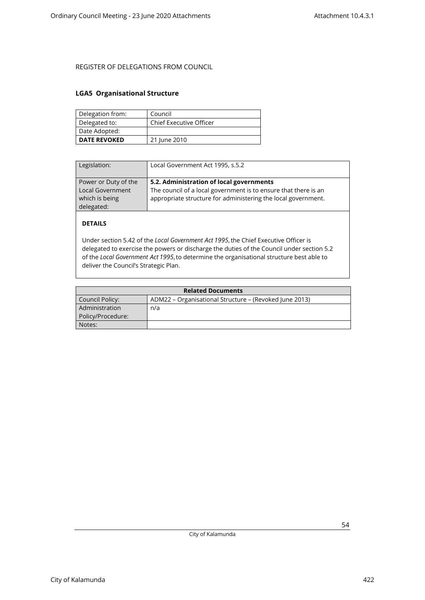#### <span id="page-53-0"></span>**LGA5 Organisational Structure**

| Delegation from:    | Council                        |
|---------------------|--------------------------------|
| Delegated to:       | <b>Chief Executive Officer</b> |
| Date Adopted:       |                                |
| <b>DATE REVOKED</b> | 21 June 2010                   |

| Legislation:                                                             | Local Government Act 1995, s.5.2                                                                                                                                             |
|--------------------------------------------------------------------------|------------------------------------------------------------------------------------------------------------------------------------------------------------------------------|
| Power or Duty of the<br>Local Government<br>which is being<br>delegated: | 5.2. Administration of local governments<br>The council of a local government is to ensure that there is an<br>appropriate structure for administering the local government. |

### **DETAILS**

Under section 5.42 of the *Local Government Act 1995*, the Chief Executive Officer is delegated to exercise the powers or discharge the duties of the Council under section 5.2 of the *Local Government Act 1995*, to determine the organisational structure best able to deliver the Council's Strategic Plan.

| <b>Related Documents</b> |                                                        |
|--------------------------|--------------------------------------------------------|
| Council Policy:          | ADM22 – Organisational Structure – (Revoked June 2013) |
| Administration           | n/a                                                    |
| Policy/Procedure:        |                                                        |
| Notes:                   |                                                        |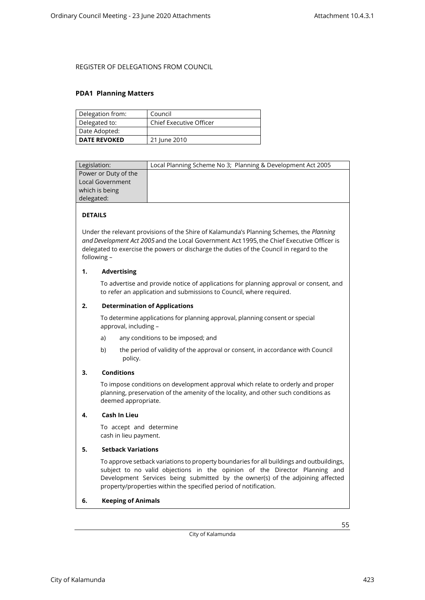#### <span id="page-54-0"></span>**PDA1 Planning Matters**

| Delegation from:    | Council                        |
|---------------------|--------------------------------|
| Delegated to:       | <b>Chief Executive Officer</b> |
| Date Adopted:       |                                |
| <b>DATE REVOKED</b> | 21 June 2010                   |

| Legislation:         | Local Planning Scheme No 3; Planning & Development Act 2005 |
|----------------------|-------------------------------------------------------------|
| Power or Duty of the |                                                             |
| Local Government     |                                                             |
| which is being       |                                                             |
| delegated:           |                                                             |
|                      |                                                             |

### **DETAILS**

Under the relevant provisions of the Shire of Kalamunda's Planning Schemes, the *Planning and Development Act 2005*and the Local Government Act 1995, the Chief Executive Officer is delegated to exercise the powers or discharge the duties of the Council in regard to the following –

#### **1. Advertising**

To advertise and provide notice of applications for planning approval or consent, and to refer an application and submissions to Council, where required.

#### **2. Determination of Applications**

To determine applications for planning approval, planning consent or special approval, including –

- a) any conditions to be imposed; and
- b) the period of validity of the approval or consent, in accordance with Council policy.

#### **3. Conditions**

To impose conditions on development approval which relate to orderly and proper planning, preservation of the amenity of the locality, and other such conditions as deemed appropriate.

#### **4. Cash In Lieu**

To accept and determine cash in lieu payment.

#### **5. Setback Variations**

To approve setback variations to property boundaries for all buildings and outbuildings, subject to no valid objections in the opinion of the Director Planning and Development Services being submitted by the owner(s) of the adjoining affected property/properties within the specified period of notification.

#### **6. Keeping of Animals**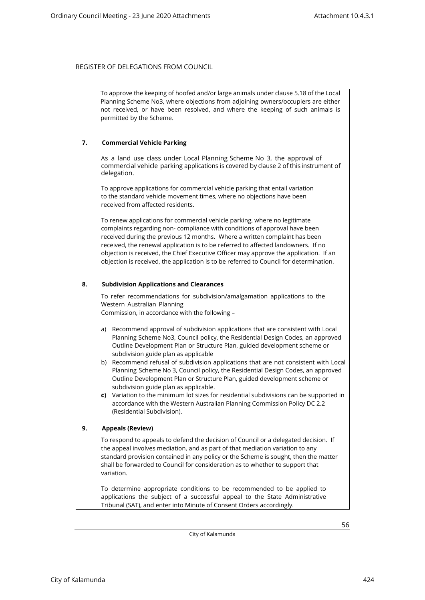To approve the keeping of hoofed and/or large animals under clause 5.18 of the Local Planning Scheme No3, where objections from adjoining owners/occupiers are either not received, or have been resolved, and where the keeping of such animals is permitted by the Scheme.

#### **7. Commercial Vehicle Parking**

As a land use class under Local Planning Scheme No 3, the approval of commercial vehicle parking applications is covered by clause 2 of this instrument of delegation.

To approve applications for commercial vehicle parking that entail variation to the standard vehicle movement times, where no objections have been received from affected residents.

To renew applications for commercial vehicle parking, where no legitimate complaints regarding non- compliance with conditions of approval have been received during the previous 12 months. Where a written complaint has been received, the renewal application is to be referred to affected landowners. If no objection is received, the Chief Executive Officer may approve the application. If an objection is received, the application is to be referred to Council for determination.

#### **8. Subdivision Applications and Clearances**

To refer recommendations for subdivision/amalgamation applications to the Western Australian Planning

Commission, in accordance with the following –

- a) Recommend approval of subdivision applications that are consistent with Local Planning Scheme No3, Council policy, the Residential Design Codes, an approved Outline Development Plan or Structure Plan, guided development scheme or subdivision guide plan as applicable
- b) Recommend refusal of subdivision applications that are not consistent with Local Planning Scheme No 3, Council policy, the Residential Design Codes, an approved Outline Development Plan or Structure Plan, guided development scheme or subdivision guide plan as applicable.
- **c)** Variation to the minimum lot sizes for residential subdivisions can be supported in accordance with the Western Australian Planning Commission Policy DC 2.2 (Residential Subdivision).

#### **9. Appeals (Review)**

To respond to appeals to defend the decision of Council or a delegated decision. If the appeal involves mediation, and as part of that mediation variation to any standard provision contained in any policy or the Scheme is sought, then the matter shall be forwarded to Council for consideration as to whether to support that variation.

To determine appropriate conditions to be recommended to be applied to applications the subject of a successful appeal to the State Administrative Tribunal (SAT), and enter into Minute of Consent Orders accordingly.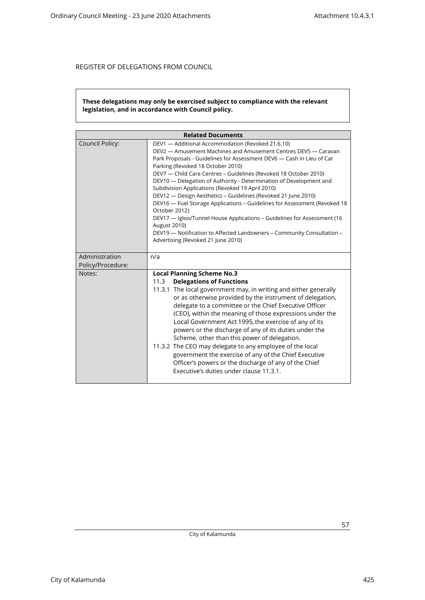#### **These delegations may only be exercised subject to compliance with the relevant legislation, and in accordance with Council policy.**

| <b>Related Documents</b>            |                                                                                                                                                                                                                                                                                                                                                                                                                                                                                                                                                                                                                                                                                                                                                                                                                  |
|-------------------------------------|------------------------------------------------------------------------------------------------------------------------------------------------------------------------------------------------------------------------------------------------------------------------------------------------------------------------------------------------------------------------------------------------------------------------------------------------------------------------------------------------------------------------------------------------------------------------------------------------------------------------------------------------------------------------------------------------------------------------------------------------------------------------------------------------------------------|
| Council Policy:                     | DEV1 - Additional Accommodation (Revoked 21.6.10)<br>DEV2 - Amusement Machines and Amusement Centres DEV5 - Caravan<br>Park Proposals - Guidelines for Assessment DEV6 - Cash in Lieu of Car<br>Parking (Revoked 18 October 2010)<br>DEV7 - Child Care Centres - Guidelines (Revoked 18 October 2010)<br>DEV10 — Delegation of Authority - Determination of Development and<br>Subdivision Applications (Revoked 19 April 2010)<br>DEV12 - Design Aesthetics - Guidelines (Revoked 21 June 2010)<br>DEV16 - Fuel Storage Applications - Guidelines for Assessment (Revoked 18<br>October 2012)<br>DEV17 - Igloo/Tunnel House Applications - Guidelines for Assessment (16<br><b>August 2010)</b><br>DEV19 - Notification to Affected Landowners - Community Consultation -<br>Advertising (Revoked 21 June 2010) |
| Administration<br>Policy/Procedure: | n/a                                                                                                                                                                                                                                                                                                                                                                                                                                                                                                                                                                                                                                                                                                                                                                                                              |
| Notes:                              | <b>Local Planning Scheme No.3</b><br><b>Delegations of Functions</b><br>11.3<br>11.3.1 The local government may, in writing and either generally<br>or as otherwise provided by the instrument of delegation,<br>delegate to a committee or the Chief Executive Officer<br>(CEO), within the meaning of those expressions under the<br>Local Government Act 1995, the exercise of any of its<br>powers or the discharge of any of its duties under the<br>Scheme, other than this power of delegation.<br>11.3.2 The CEO may delegate to any employee of the local<br>government the exercise of any of the Chief Executive<br>Officer's powers or the discharge of any of the Chief<br>Executive's duties under clause 11.3.1.                                                                                  |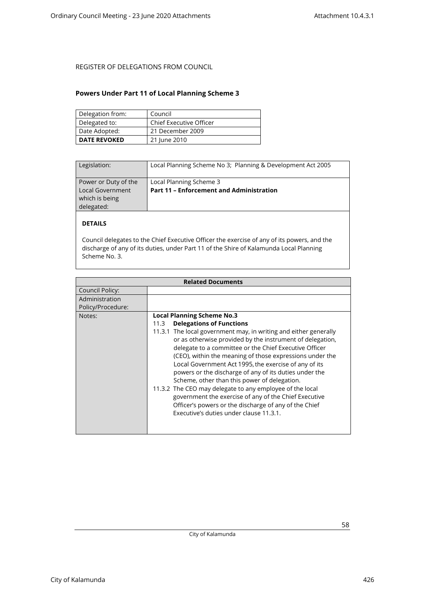#### <span id="page-57-0"></span>**Powers Under Part 11 of Local Planning Scheme 3**

| Delegation from:    | Council                        |
|---------------------|--------------------------------|
| Delegated to:       | <b>Chief Executive Officer</b> |
| Date Adopted:       | 21 December 2009               |
| <b>DATE REVOKED</b> | 21 June 2010                   |

| Legislation:                                                             | Local Planning Scheme No 3; Planning & Development Act 2005                |
|--------------------------------------------------------------------------|----------------------------------------------------------------------------|
| Power or Duty of the<br>Local Government<br>which is being<br>delegated: | Local Planning Scheme 3<br><b>Part 11 - Enforcement and Administration</b> |

### **DETAILS**

Council delegates to the Chief Executive Officer the exercise of any of its powers, and the discharge of any of its duties, under Part 11 of the Shire of Kalamunda Local Planning Scheme No. 3.

| <b>Related Documents</b> |                                                                                                                                                                                                                                                                                                                                                                                                                                                                                                                                                                                                                                                                                      |
|--------------------------|--------------------------------------------------------------------------------------------------------------------------------------------------------------------------------------------------------------------------------------------------------------------------------------------------------------------------------------------------------------------------------------------------------------------------------------------------------------------------------------------------------------------------------------------------------------------------------------------------------------------------------------------------------------------------------------|
| Council Policy:          |                                                                                                                                                                                                                                                                                                                                                                                                                                                                                                                                                                                                                                                                                      |
| Administration           |                                                                                                                                                                                                                                                                                                                                                                                                                                                                                                                                                                                                                                                                                      |
| Policy/Procedure:        |                                                                                                                                                                                                                                                                                                                                                                                                                                                                                                                                                                                                                                                                                      |
| Notes:                   | <b>Local Planning Scheme No.3</b><br><b>Delegations of Functions</b><br>11.3<br>11.3.1 The local government may, in writing and either generally<br>or as otherwise provided by the instrument of delegation,<br>delegate to a committee or the Chief Executive Officer<br>(CEO), within the meaning of those expressions under the<br>Local Government Act 1995, the exercise of any of its<br>powers or the discharge of any of its duties under the<br>Scheme, other than this power of delegation.<br>11.3.2 The CEO may delegate to any employee of the local<br>government the exercise of any of the Chief Executive<br>Officer's powers or the discharge of any of the Chief |
|                          | Executive's duties under clause 11.3.1.                                                                                                                                                                                                                                                                                                                                                                                                                                                                                                                                                                                                                                              |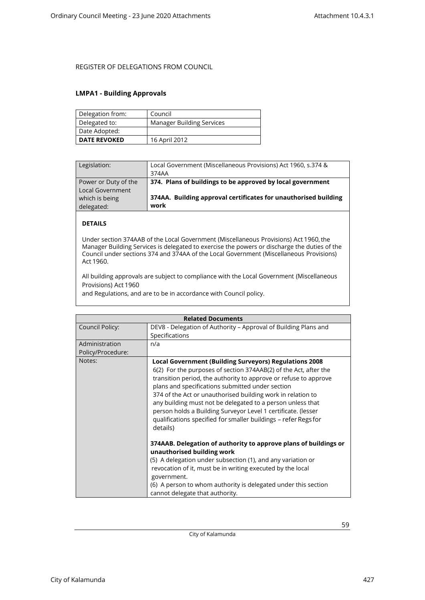#### <span id="page-58-0"></span>**LMPA1 - Building Approvals**

| Delegation from:    | Council                          |
|---------------------|----------------------------------|
| Delegated to:       | <b>Manager Building Services</b> |
| Date Adopted:       |                                  |
| <b>DATE REVOKED</b> | 16 April 2012                    |

| Legislation:                                    | Local Government (Miscellaneous Provisions) Act 1960, s.374 &<br>374AA  |
|-------------------------------------------------|-------------------------------------------------------------------------|
| Power or Duty of the<br><b>Local Government</b> | 374. Plans of buildings to be approved by local government              |
| which is being<br>delegated:                    | 374AA. Building approval certificates for unauthorised building<br>work |

### **DETAILS**

Under section 374AAB of the Local Government (Miscellaneous Provisions) Act 1960, the Manager Building Services is delegated to exercise the powers or discharge the duties of the Council under sections 374 and 374AA of the Local Government (Miscellaneous Provisions) Act 1960.

All building approvals are subject to compliance with the Local Government (Miscellaneous Provisions) Act 1960

and Regulations, and are to be in accordance with Council policy.

|                   | <b>Related Documents</b>                                                                                                                                                                                                                                                                                                                                                                                                                                                                                                               |
|-------------------|----------------------------------------------------------------------------------------------------------------------------------------------------------------------------------------------------------------------------------------------------------------------------------------------------------------------------------------------------------------------------------------------------------------------------------------------------------------------------------------------------------------------------------------|
| Council Policy:   | DEV8 - Delegation of Authority - Approval of Building Plans and                                                                                                                                                                                                                                                                                                                                                                                                                                                                        |
|                   | Specifications                                                                                                                                                                                                                                                                                                                                                                                                                                                                                                                         |
| Administration    | n/a                                                                                                                                                                                                                                                                                                                                                                                                                                                                                                                                    |
| Policy/Procedure: |                                                                                                                                                                                                                                                                                                                                                                                                                                                                                                                                        |
| Notes:            | <b>Local Government (Building Surveyors) Regulations 2008</b><br>6(2) For the purposes of section 374AAB(2) of the Act, after the<br>transition period, the authority to approve or refuse to approve<br>plans and specifications submitted under section<br>374 of the Act or unauthorised building work in relation to<br>any building must not be delegated to a person unless that<br>person holds a Building Surveyor Level 1 certificate. (lesser<br>qualifications specified for smaller buildings – refer Regs for<br>details) |
|                   | 374AAB. Delegation of authority to approve plans of buildings or<br>unauthorised building work<br>(5) A delegation under subsection (1), and any variation or<br>revocation of it, must be in writing executed by the local<br>government.<br>(6) A person to whom authority is delegated under this section<br>cannot delegate that authority.                                                                                                                                                                                        |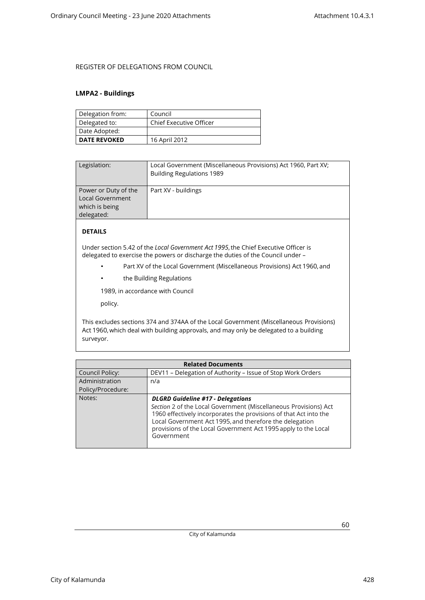#### <span id="page-59-0"></span>**LMPA2 - Buildings**

| Delegation from:    | Council                        |
|---------------------|--------------------------------|
| Delegated to:       | <b>Chief Executive Officer</b> |
| Date Adopted:       |                                |
| <b>DATE REVOKED</b> | 16 April 2012                  |

| Legislation:                                                                    | Local Government (Miscellaneous Provisions) Act 1960, Part XV;<br><b>Building Regulations 1989</b> |
|---------------------------------------------------------------------------------|----------------------------------------------------------------------------------------------------|
| Power or Duty of the<br><b>Local Government</b><br>which is being<br>delegated: | Part XV - buildings                                                                                |

### **DETAILS**

Under section 5.42 of the *Local Government Act 1995*, the Chief Executive Officer is delegated to exercise the powers or discharge the duties of the Council under –

- Part XV of the Local Government (Miscellaneous Provisions) Act 1960, and
- the Building Regulations

1989, in accordance with Council

policy.

This excludes sections 374 and 374AA of the Local Government (Miscellaneous Provisions) Act 1960, which deal with building approvals, and may only be delegated to a building surveyor.

| <b>Related Documents</b> |                                                                                                                                                                                                                                                                                                                              |  |
|--------------------------|------------------------------------------------------------------------------------------------------------------------------------------------------------------------------------------------------------------------------------------------------------------------------------------------------------------------------|--|
| Council Policy:          | DEV11 - Delegation of Authority - Issue of Stop Work Orders                                                                                                                                                                                                                                                                  |  |
| Administration           | n/a                                                                                                                                                                                                                                                                                                                          |  |
| Policy/Procedure:        |                                                                                                                                                                                                                                                                                                                              |  |
| Notes:                   | <b>DLGRD Guideline #17 - Delegations</b><br>Section 2 of the Local Government (Miscellaneous Provisions) Act<br>1960 effectively incorporates the provisions of that Act into the<br>Local Government Act 1995, and therefore the delegation<br>provisions of the Local Government Act 1995 apply to the Local<br>Government |  |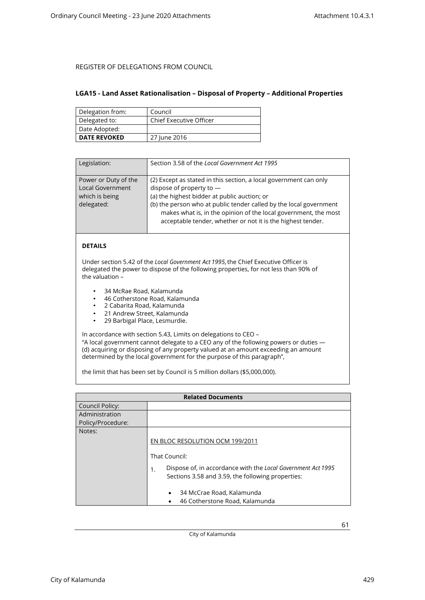#### <span id="page-60-0"></span>**LGA15 - Land Asset Rationalisation – Disposal of Property – Additional Properties**

| Delegation from:    | Council                 |
|---------------------|-------------------------|
| Delegated to:       | Chief Executive Officer |
| Date Adopted:       |                         |
| <b>DATE REVOKED</b> | 27 June 2016            |

| Legislation:                                                                    | Section 3.58 of the Local Government Act 1995                                                                                                                                                                                                                                                                                                         |
|---------------------------------------------------------------------------------|-------------------------------------------------------------------------------------------------------------------------------------------------------------------------------------------------------------------------------------------------------------------------------------------------------------------------------------------------------|
| Power or Duty of the<br><b>Local Government</b><br>which is being<br>delegated: | (2) Except as stated in this section, a local government can only<br>dispose of property to -<br>(a) the highest bidder at public auction; or<br>(b) the person who at public tender called by the local government<br>makes what is, in the opinion of the local government, the most<br>acceptable tender, whether or not it is the highest tender. |

### **DETAILS**

Under section 5.42 of the *Local Government Act 1995*, the Chief Executive Officer is delegated the power to dispose of the following properties, for not less than 90% of the valuation –

- 34 McRae Road, Kalamunda
- 46 Cotherstone Road, Kalamunda<br>• 2 Cabarita Boad, Kalamunda
- 2 Cabarita Road, Kalamunda
- 21 Andrew Street, Kalamunda<br>• 29 Barbigal Place, Lesmurdie
- 29 Barbigal Place, Lesmurdie.

In accordance with section 5.43, Limits on delegations to CEO – "A local government cannot delegate to a CEO any of the following powers or duties —

(d) acquiring or disposing of any property valued at an amount exceeding an amount determined by the local government for the purpose of this paragraph",

the limit that has been set by Council is 5 million dollars (\$5,000,000).

| <b>Related Documents</b> |                                                                                                                         |
|--------------------------|-------------------------------------------------------------------------------------------------------------------------|
| Council Policy:          |                                                                                                                         |
| Administration           |                                                                                                                         |
| Policy/Procedure:        |                                                                                                                         |
| Notes:                   |                                                                                                                         |
|                          | EN BLOC RESOLUTION OCM 199/2011                                                                                         |
|                          | That Council:                                                                                                           |
|                          | Dispose of, in accordance with the Local Government Act 1995<br>1.<br>Sections 3.58 and 3.59, the following properties: |
|                          | 34 McCrae Road, Kalamunda<br>٠                                                                                          |
|                          | 46 Cotherstone Road, Kalamunda                                                                                          |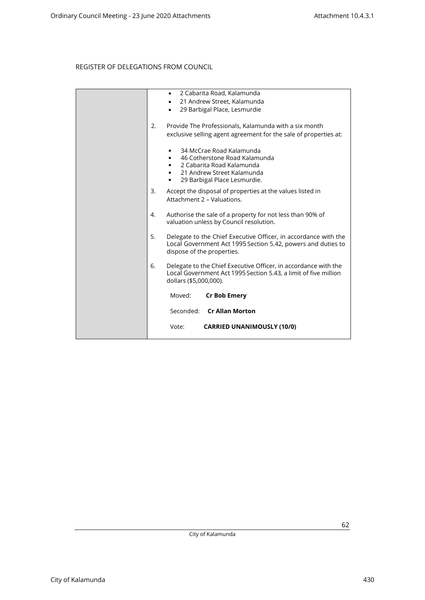|    | 2 Cabarita Road, Kalamunda<br>$\bullet$<br>21 Andrew Street, Kalamunda<br>$\bullet$<br>29 Barbigal Place, Lesmurdie<br>$\bullet$                                               |
|----|--------------------------------------------------------------------------------------------------------------------------------------------------------------------------------|
| 2. | Provide The Professionals, Kalamunda with a six month<br>exclusive selling agent agreement for the sale of properties at:                                                      |
|    | 34 McCrae Road Kalamunda<br>46 Cotherstone Road Kalamunda<br>$\bullet$<br>2 Cabarita Road Kalamunda<br>21 Andrew Street Kalamunda<br>29 Barbigal Place Lesmurdie.<br>$\bullet$ |
| 3. | Accept the disposal of properties at the values listed in<br>Attachment 2 - Valuations.                                                                                        |
| 4. | Authorise the sale of a property for not less than 90% of<br>valuation unless by Council resolution.                                                                           |
| 5. | Delegate to the Chief Executive Officer, in accordance with the<br>Local Government Act 1995 Section 5.42, powers and duties to<br>dispose of the properties.                  |
| 6. | Delegate to the Chief Executive Officer, in accordance with the<br>Local Government Act 1995 Section 5.43, a limit of five million<br>dollars (\$5,000,000).                   |
|    | Moved:<br>Cr Bob Emery                                                                                                                                                         |
|    | Seconded: Cr Allan Morton                                                                                                                                                      |
|    | <b>CARRIED UNANIMOUSLY (10/0)</b><br>Vote:                                                                                                                                     |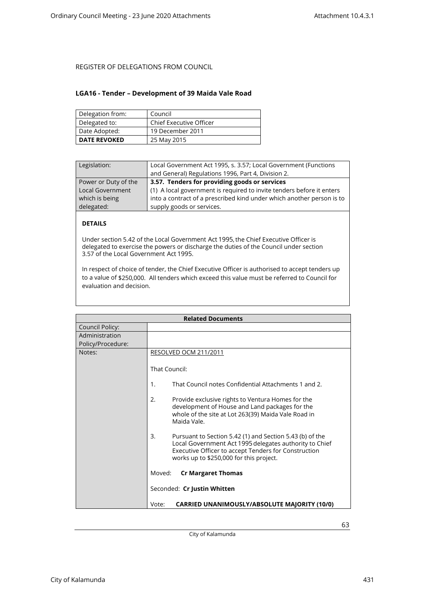#### <span id="page-62-0"></span>**LGA16 - Tender – Development of 39 Maida Vale Road**

| Delegation from:    | Council                 |
|---------------------|-------------------------|
| Delegated to:       | Chief Executive Officer |
| Date Adopted:       | 19 December 2011        |
| <b>DATE REVOKED</b> | 25 May 2015             |

| Legislation:            | Local Government Act 1995, s. 3.57; Local Government (Functions       |
|-------------------------|-----------------------------------------------------------------------|
|                         | and General) Regulations 1996, Part 4, Division 2.                    |
| Power or Duty of the    | 3.57. Tenders for providing goods or services                         |
| <b>Local Government</b> | (1) A local government is required to invite tenders before it enters |
| which is being          | into a contract of a prescribed kind under which another person is to |
| delegated:              | supply goods or services.                                             |
|                         |                                                                       |

### **DETAILS**

Under section 5.42 of the Local Government Act 1995, the Chief Executive Officer is delegated to exercise the powers or discharge the duties of the Council under section 3.57 of the Local Government Act 1995.

In respect of choice of tender, the Chief Executive Officer is authorised to accept tenders up to a value of \$250,000. All tenders which exceed this value must be referred to Council for evaluation and decision.

| <b>Related Documents</b> |                                                                                                                                                                                                                             |
|--------------------------|-----------------------------------------------------------------------------------------------------------------------------------------------------------------------------------------------------------------------------|
| Council Policy:          |                                                                                                                                                                                                                             |
| Administration           |                                                                                                                                                                                                                             |
| Policy/Procedure:        |                                                                                                                                                                                                                             |
| Notes:                   | RESOLVED OCM 211/2011                                                                                                                                                                                                       |
|                          | That Council:                                                                                                                                                                                                               |
|                          | That Council notes Confidential Attachments 1 and 2.<br>1.                                                                                                                                                                  |
|                          | 2.<br>Provide exclusive rights to Ventura Homes for the<br>development of House and Land packages for the<br>whole of the site at Lot 263(39) Maida Vale Road in<br>Maida Vale.                                             |
|                          | 3.<br>Pursuant to Section 5.42 (1) and Section 5.43 (b) of the<br>Local Government Act 1995 delegates authority to Chief<br>Executive Officer to accept Tenders for Construction<br>works up to \$250,000 for this project. |
|                          | Moved:<br><b>Cr Margaret Thomas</b>                                                                                                                                                                                         |
|                          | Seconded: Cr Justin Whitten                                                                                                                                                                                                 |
|                          | <b>CARRIED UNANIMOUSLY/ABSOLUTE MAJORITY (10/0)</b><br>Vote:                                                                                                                                                                |

City of Kalamunda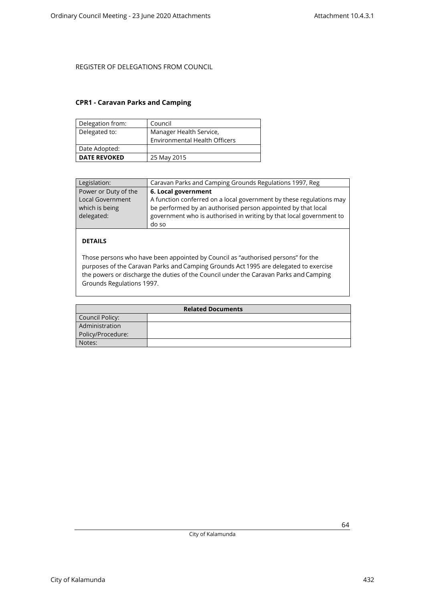### <span id="page-63-0"></span>**CPR1 - Caravan Parks and Camping**

| Delegation from:    | Council                              |
|---------------------|--------------------------------------|
| Delegated to:       | Manager Health Service,              |
|                     | <b>Environmental Health Officers</b> |
| Date Adopted:       |                                      |
| <b>DATE REVOKED</b> | 25 May 2015                          |

| Legislation:                                            | Caravan Parks and Camping Grounds Regulations 1997, Reg                                                                                                                                                    |
|---------------------------------------------------------|------------------------------------------------------------------------------------------------------------------------------------------------------------------------------------------------------------|
| Power or Duty of the                                    | 6. Local government                                                                                                                                                                                        |
| <b>Local Government</b><br>which is being<br>delegated: | A function conferred on a local government by these regulations may<br>be performed by an authorised person appointed by that local<br>government who is authorised in writing by that local government to |
|                                                         | do so                                                                                                                                                                                                      |

### **DETAILS**

Those persons who have been appointed by Council as "authorised persons" for the purposes of the Caravan Parks and Camping Grounds Act 1995 are delegated to exercise the powers or discharge the duties of the Council under the Caravan Parks and Camping Grounds Regulations 1997.

| <b>Related Documents</b> |  |
|--------------------------|--|
| Council Policy:          |  |
| Administration           |  |
| Policy/Procedure:        |  |
| Notes:                   |  |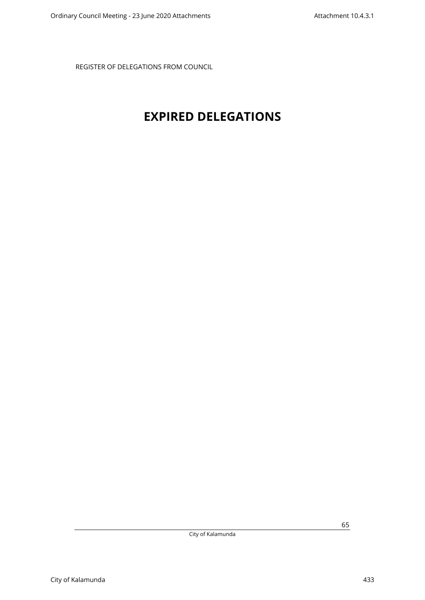## <span id="page-64-0"></span>**EXPIRED DELEGATIONS**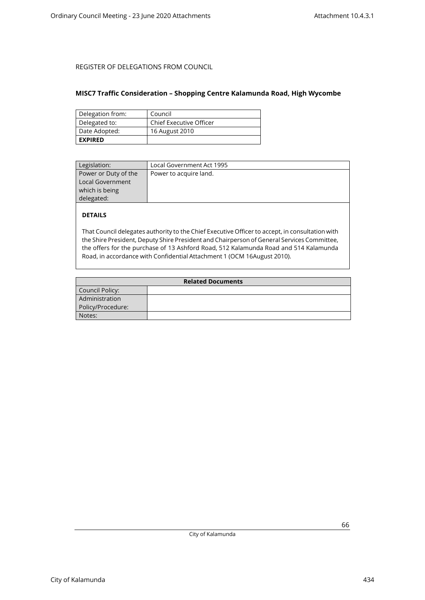#### <span id="page-65-0"></span>**MISC7 Traffic Consideration – Shopping Centre Kalamunda Road, High Wycombe**

| Delegation from: | Council                        |
|------------------|--------------------------------|
| Delegated to:    | <b>Chief Executive Officer</b> |
| Date Adopted:    | 16 August 2010                 |
| <b>EXPIRED</b>   |                                |

| Power to acquire land. |
|------------------------|
|                        |
|                        |
|                        |
|                        |
|                        |

### **DETAILS**

That Council delegates authority to the Chief Executive Officer to accept, in consultation with the Shire President, Deputy Shire President and Chairperson of General Services Committee, the offers for the purchase of 13 Ashford Road, 512 Kalamunda Road and 514 Kalamunda Road, in accordance with Confidential Attachment 1 (OCM 16August 2010).

| <b>Related Documents</b> |  |
|--------------------------|--|
| Council Policy:          |  |
| Administration           |  |
| Policy/Procedure:        |  |
| Notes:                   |  |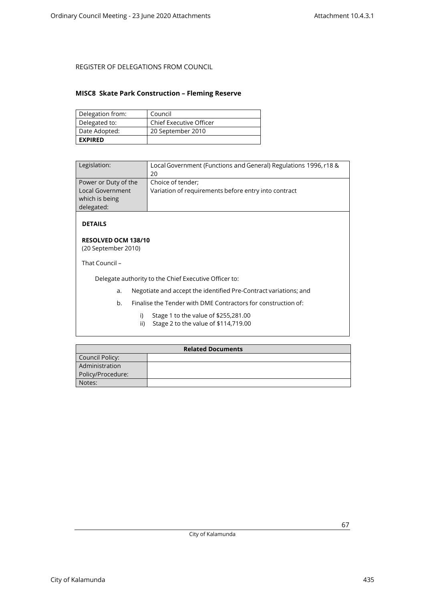#### <span id="page-66-0"></span>**MISC8 Skate Park Construction – Fleming Reserve**

| Delegation from: | Council                 |
|------------------|-------------------------|
| Delegated to:    | Chief Executive Officer |
| Date Adopted:    | 20 September 2010       |
| <b>EXPIRED</b>   |                         |

| Legislation:                                                             | Local Government (Functions and General) Regulations 1996, r18 &<br>20    |
|--------------------------------------------------------------------------|---------------------------------------------------------------------------|
| Power or Duty of the<br>Local Government<br>which is being<br>delegated: | Choice of tender;<br>Variation of requirements before entry into contract |

**DETAILS**

#### **RESOLVED OCM 138/10** (20 September 2010)

That Council –

Delegate authority to the Chief Executive Officer to:

- a. Negotiate and accept the identified Pre-Contract variations; and
- b. Finalise the Tender with DME Contractors for construction of:
	- i) Stage 1 to the value of \$255,281.00
	- ii) Stage 2 to the value of \$114,719.00

| <b>Related Documents</b> |  |
|--------------------------|--|
| Council Policy:          |  |
| Administration           |  |
| Policy/Procedure:        |  |
| Notes:                   |  |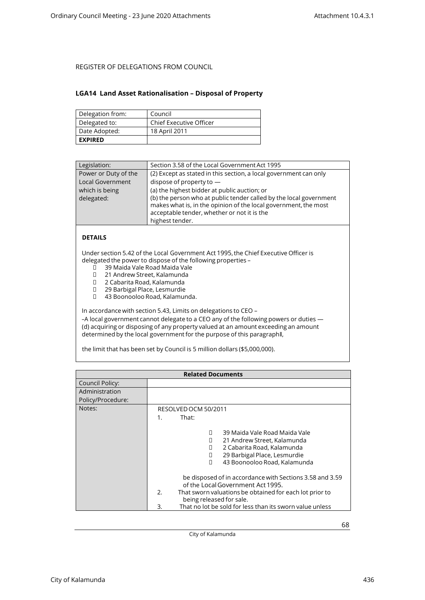#### <span id="page-67-0"></span>**LGA14 Land Asset Rationalisation – Disposal of Property**

| Delegation from: | Council                        |
|------------------|--------------------------------|
| Delegated to:    | <b>Chief Executive Officer</b> |
| Date Adopted:    | 18 April 2011                  |
| <b>EXPIRED</b>   |                                |

| Legislation:            | Section 3.58 of the Local Government Act 1995                                                                                                                                                           |
|-------------------------|---------------------------------------------------------------------------------------------------------------------------------------------------------------------------------------------------------|
| Power or Duty of the    | (2) Except as stated in this section, a local government can only                                                                                                                                       |
| <b>Local Government</b> | dispose of property to $-$                                                                                                                                                                              |
| which is being          | (a) the highest bidder at public auction; or                                                                                                                                                            |
| delegated:              | (b) the person who at public tender called by the local government<br>makes what is, in the opinion of the local government, the most<br>acceptable tender, whether or not it is the<br>highest tender. |

#### **DETAILS**

Under section 5.42 of the Local Government Act 1995, the Chief Executive Officer is delegated the power to dispose of the following properties –<br>  $\Box$  39 Maida Vale Road Maida Vale

- 39 Maida Vale Road Maida Vale
- □ 21 Andrew Street, Kalamunda<br>□ 2 Cabarita Road. Kalamunda
- 2 Cabarita Road, Kalamunda
- 29 Barbigal Place, Lesmurdie
- 43 Boonooloo Road, Kalamunda.

In accordance with section 5.43, Limits on delegations to CEO –

-A local government cannot delegate to a CEO any of the following powers or duties -(d) acquiring or disposing of any property valued at an amount exceeding an amount determined by the local government for the purpose of this paragraph‖,

the limit that has been set by Council is 5 million dollars (\$5,000,000).

| <b>Related Documents</b> |                                                                                                                                                                                                                                                                                                                                                                                                                                                            |  |
|--------------------------|------------------------------------------------------------------------------------------------------------------------------------------------------------------------------------------------------------------------------------------------------------------------------------------------------------------------------------------------------------------------------------------------------------------------------------------------------------|--|
| Council Policy:          |                                                                                                                                                                                                                                                                                                                                                                                                                                                            |  |
| Administration           |                                                                                                                                                                                                                                                                                                                                                                                                                                                            |  |
| Policy/Procedure:        |                                                                                                                                                                                                                                                                                                                                                                                                                                                            |  |
| Notes:                   | RESOLVED OCM 50/2011                                                                                                                                                                                                                                                                                                                                                                                                                                       |  |
|                          | That:<br>$1_{-}$                                                                                                                                                                                                                                                                                                                                                                                                                                           |  |
|                          | 39 Maida Vale Road Maida Vale<br>П<br>21 Andrew Street, Kalamunda<br>2 Cabarita Road, Kalamunda<br>п<br>29 Barbigal Place, Lesmurdie<br>П<br>43 Boonooloo Road, Kalamunda<br>П<br>be disposed of in accordance with Sections 3.58 and 3.59<br>of the Local Government Act 1995.<br>$\mathfrak{D}$<br>That sworn valuations be obtained for each lot prior to<br>being released for sale.<br>That no lot be sold for less than its sworn value unless<br>3. |  |